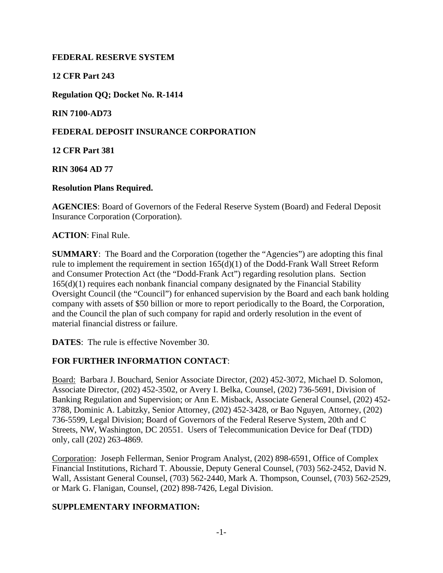### **FEDERAL RESERVE SYSTEM**

**12 CFR Part 243** 

**Regulation QQ; Docket No. R-1414** 

**RIN 7100-AD73** 

## **FEDERAL DEPOSIT INSURANCE CORPORATION**

**12 CFR Part 381** 

**RIN 3064 AD 77** 

**Resolution Plans Required.** 

**AGENCIES**: Board of Governors of the Federal Reserve System (Board) and Federal Deposit Insurance Corporation (Corporation).

**ACTION**: Final Rule.

**SUMMARY**: The Board and the Corporation (together the "Agencies") are adopting this final rule to implement the requirement in section 165(d)(1) of the Dodd-Frank Wall Street Reform and Consumer Protection Act (the "Dodd-Frank Act") regarding resolution plans. Section 165(d)(1) requires each nonbank financial company designated by the Financial Stability Oversight Council (the "Council") for enhanced supervision by the Board and each bank holding company with assets of \$50 billion or more to report periodically to the Board, the Corporation, and the Council the plan of such company for rapid and orderly resolution in the event of material financial distress or failure.

**DATES**: The rule is effective November 30.

## **FOR FURTHER INFORMATION CONTACT**:

Board: Barbara J. Bouchard, Senior Associate Director, (202) 452-3072, Michael D. Solomon, Associate Director, (202) 452-3502, or Avery I. Belka, Counsel, (202) 736-5691, Division of Banking Regulation and Supervision; or Ann E. Misback, Associate General Counsel, (202) 452- 3788, Dominic A. Labitzky, Senior Attorney, (202) 452-3428, or Bao Nguyen, Attorney, (202) 736-5599, Legal Division; Board of Governors of the Federal Reserve System, 20th and C Streets, NW, Washington, DC 20551. Users of Telecommunication Device for Deaf (TDD) only, call (202) 263-4869.

Corporation: Joseph Fellerman, Senior Program Analyst, (202) 898-6591, Office of Complex Financial Institutions, Richard T. Aboussie, Deputy General Counsel, (703) 562-2452, David N. Wall, Assistant General Counsel, (703) 562-2440, Mark A. Thompson, Counsel, (703) 562-2529, or Mark G. Flanigan, Counsel, (202) 898-7426, Legal Division.

## **SUPPLEMENTARY INFORMATION:**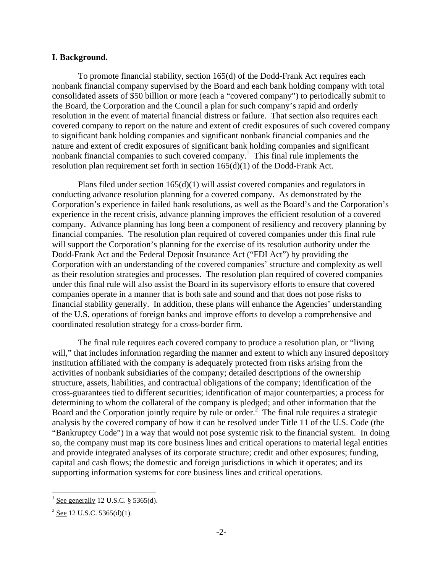#### **I. Background.**

To promote financial stability, section 165(d) of the Dodd-Frank Act requires each nonbank financial company supervised by the Board and each bank holding company with total consolidated assets of \$50 billion or more (each a "covered company") to periodically submit to the Board, the Corporation and the Council a plan for such company's rapid and orderly resolution in the event of material financial distress or failure. That section also requires each covered company to report on the nature and extent of credit exposures of such covered company to significant bank holding companies and significant nonbank financial companies and the nature and extent of credit exposures of significant bank holding companies and significant nonbank financial companies to such covered company.<sup>1</sup> This final rule implements the resolution plan requirement set forth in section 165(d)(1) of the Dodd-Frank Act.

Plans filed under section 165(d)(1) will assist covered companies and regulators in conducting advance resolution planning for a covered company. As demonstrated by the Corporation's experience in failed bank resolutions, as well as the Board's and the Corporation's experience in the recent crisis, advance planning improves the efficient resolution of a covered company. Advance planning has long been a component of resiliency and recovery planning by financial companies. The resolution plan required of covered companies under this final rule will support the Corporation's planning for the exercise of its resolution authority under the Dodd-Frank Act and the Federal Deposit Insurance Act ("FDI Act") by providing the Corporation with an understanding of the covered companies' structure and complexity as well as their resolution strategies and processes. The resolution plan required of covered companies under this final rule will also assist the Board in its supervisory efforts to ensure that covered companies operate in a manner that is both safe and sound and that does not pose risks to financial stability generally. In addition, these plans will enhance the Agencies' understanding of the U.S. operations of foreign banks and improve efforts to develop a comprehensive and coordinated resolution strategy for a cross-border firm.

The final rule requires each covered company to produce a resolution plan, or "living will," that includes information regarding the manner and extent to which any insured depository institution affiliated with the company is adequately protected from risks arising from the activities of nonbank subsidiaries of the company; detailed descriptions of the ownership structure, assets, liabilities, and contractual obligations of the company; identification of the cross-guarantees tied to different securities; identification of major counterparties; a process for determining to whom the collateral of the company is pledged; and other information that the Board and the Corporation jointly require by rule or order.<sup>2</sup> The final rule requires a strategic analysis by the covered company of how it can be resolved under Title 11 of the U.S. Code (the "Bankruptcy Code") in a way that would not pose systemic risk to the financial system. In doing so, the company must map its core business lines and critical operations to material legal entities and provide integrated analyses of its corporate structure; credit and other exposures; funding, capital and cash flows; the domestic and foreign jurisdictions in which it operates; and its supporting information systems for core business lines and critical operations.

 $\frac{1}{1}$  See generally 12 U.S.C. § 5365(d).

 $2$  See 12 U.S.C. 5365(d)(1).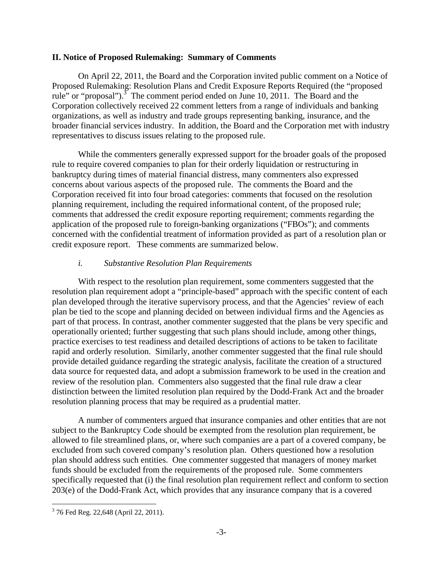#### **II. Notice of Proposed Rulemaking: Summary of Comments**

On April 22, 2011, the Board and the Corporation invited public comment on a Notice of Proposed Rulemaking: Resolution Plans and Credit Exposure Reports Required (the "proposed rule" or "proposal").<sup>3</sup> The comment period ended on June 10, 2011. The Board and the Corporation collectively received 22 comment letters from a range of individuals and banking organizations, as well as industry and trade groups representing banking, insurance, and the broader financial services industry. In addition, the Board and the Corporation met with industry representatives to discuss issues relating to the proposed rule.

While the commenters generally expressed support for the broader goals of the proposed rule to require covered companies to plan for their orderly liquidation or restructuring in bankruptcy during times of material financial distress, many commenters also expressed concerns about various aspects of the proposed rule. The comments the Board and the Corporation received fit into four broad categories: comments that focused on the resolution planning requirement, including the required informational content, of the proposed rule; comments that addressed the credit exposure reporting requirement; comments regarding the application of the proposed rule to foreign-banking organizations ("FBOs"); and comments concerned with the confidential treatment of information provided as part of a resolution plan or credit exposure report. These comments are summarized below.

#### *i. Substantive Resolution Plan Requirements*

With respect to the resolution plan requirement, some commenters suggested that the resolution plan requirement adopt a "principle-based" approach with the specific content of each plan developed through the iterative supervisory process, and that the Agencies' review of each plan be tied to the scope and planning decided on between individual firms and the Agencies as part of that process. In contrast, another commenter suggested that the plans be very specific and operationally oriented; further suggesting that such plans should include, among other things, practice exercises to test readiness and detailed descriptions of actions to be taken to facilitate rapid and orderly resolution. Similarly, another commenter suggested that the final rule should provide detailed guidance regarding the strategic analysis, facilitate the creation of a structured data source for requested data, and adopt a submission framework to be used in the creation and review of the resolution plan. Commenters also suggested that the final rule draw a clear distinction between the limited resolution plan required by the Dodd-Frank Act and the broader resolution planning process that may be required as a prudential matter.

A number of commenters argued that insurance companies and other entities that are not subject to the Bankruptcy Code should be exempted from the resolution plan requirement, be allowed to file streamlined plans, or, where such companies are a part of a covered company, be excluded from such covered company's resolution plan. Others questioned how a resolution plan should address such entities. One commenter suggested that managers of money market funds should be excluded from the requirements of the proposed rule. Some commenters specifically requested that (i) the final resolution plan requirement reflect and conform to section 203(e) of the Dodd-Frank Act, which provides that any insurance company that is a covered

 $\overline{a}$ <sup>3</sup> 76 Fed Reg. 22,648 (April 22, 2011).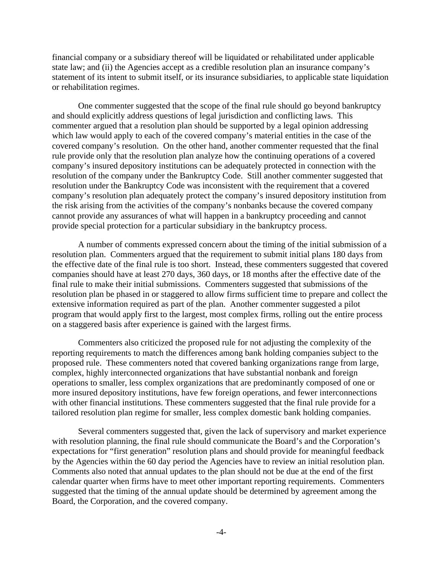financial company or a subsidiary thereof will be liquidated or rehabilitated under applicable state law; and (ii) the Agencies accept as a credible resolution plan an insurance company's statement of its intent to submit itself, or its insurance subsidiaries, to applicable state liquidation or rehabilitation regimes.

One commenter suggested that the scope of the final rule should go beyond bankruptcy and should explicitly address questions of legal jurisdiction and conflicting laws. This commenter argued that a resolution plan should be supported by a legal opinion addressing which law would apply to each of the covered company's material entities in the case of the covered company's resolution. On the other hand, another commenter requested that the final rule provide only that the resolution plan analyze how the continuing operations of a covered company's insured depository institutions can be adequately protected in connection with the resolution of the company under the Bankruptcy Code. Still another commenter suggested that resolution under the Bankruptcy Code was inconsistent with the requirement that a covered company's resolution plan adequately protect the company's insured depository institution from the risk arising from the activities of the company's nonbanks because the covered company cannot provide any assurances of what will happen in a bankruptcy proceeding and cannot provide special protection for a particular subsidiary in the bankruptcy process.

A number of comments expressed concern about the timing of the initial submission of a resolution plan. Commenters argued that the requirement to submit initial plans 180 days from the effective date of the final rule is too short. Instead, these commenters suggested that covered companies should have at least 270 days, 360 days, or 18 months after the effective date of the final rule to make their initial submissions. Commenters suggested that submissions of the resolution plan be phased in or staggered to allow firms sufficient time to prepare and collect the extensive information required as part of the plan. Another commenter suggested a pilot program that would apply first to the largest, most complex firms, rolling out the entire process on a staggered basis after experience is gained with the largest firms.

Commenters also criticized the proposed rule for not adjusting the complexity of the reporting requirements to match the differences among bank holding companies subject to the proposed rule. These commenters noted that covered banking organizations range from large, complex, highly interconnected organizations that have substantial nonbank and foreign operations to smaller, less complex organizations that are predominantly composed of one or more insured depository institutions, have few foreign operations, and fewer interconnections with other financial institutions. These commenters suggested that the final rule provide for a tailored resolution plan regime for smaller, less complex domestic bank holding companies.

Several commenters suggested that, given the lack of supervisory and market experience with resolution planning, the final rule should communicate the Board's and the Corporation's expectations for "first generation" resolution plans and should provide for meaningful feedback by the Agencies within the 60 day period the Agencies have to review an initial resolution plan. Comments also noted that annual updates to the plan should not be due at the end of the first calendar quarter when firms have to meet other important reporting requirements. Commenters suggested that the timing of the annual update should be determined by agreement among the Board, the Corporation, and the covered company.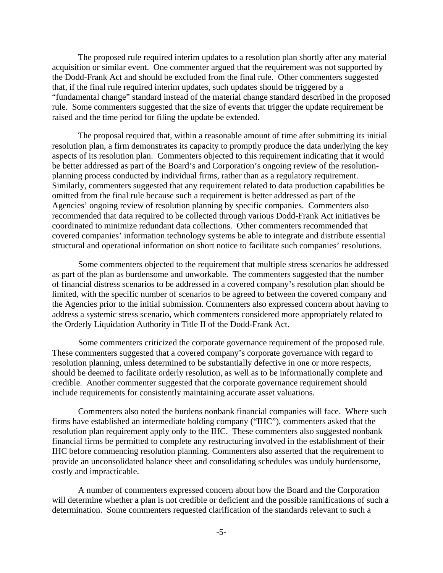The proposed rule required interim updates to a resolution plan shortly after any material acquisition or similar event. One commenter argued that the requirement was not supported by the Dodd-Frank Act and should be excluded from the final rule. Other commenters suggested that, if the final rule required interim updates, such updates should be triggered by a "fundamental change" standard instead of the material change standard described in the proposed rule. Some commenters suggested that the size of events that trigger the update requirement be raised and the time period for filing the update be extended.

The proposal required that, within a reasonable amount of time after submitting its initial resolution plan, a firm demonstrates its capacity to promptly produce the data underlying the key aspects of its resolution plan. Commenters objected to this requirement indicating that it would be better addressed as part of the Board's and Corporation's ongoing review of the resolutionplanning process conducted by individual firms, rather than as a regulatory requirement. Similarly, commenters suggested that any requirement related to data production capabilities be omitted from the final rule because such a requirement is better addressed as part of the Agencies' ongoing review of resolution planning by specific companies. Commenters also recommended that data required to be collected through various Dodd-Frank Act initiatives be coordinated to minimize redundant data collections. Other commenters recommended that covered companies' information technology systems be able to integrate and distribute essential structural and operational information on short notice to facilitate such companies' resolutions.

Some commenters objected to the requirement that multiple stress scenarios be addressed as part of the plan as burdensome and unworkable. The commenters suggested that the number of financial distress scenarios to be addressed in a covered company's resolution plan should be limited, with the specific number of scenarios to be agreed to between the covered company and the Agencies prior to the initial submission. Commenters also expressed concern about having to address a systemic stress scenario, which commenters considered more appropriately related to the Orderly Liquidation Authority in Title II of the Dodd-Frank Act.

Some commenters criticized the corporate governance requirement of the proposed rule. These commenters suggested that a covered company's corporate governance with regard to resolution planning, unless determined to be substantially defective in one or more respects, should be deemed to facilitate orderly resolution, as well as to be informationally complete and credible. Another commenter suggested that the corporate governance requirement should include requirements for consistently maintaining accurate asset valuations.

Commenters also noted the burdens nonbank financial companies will face. Where such firms have established an intermediate holding company ("IHC"), commenters asked that the resolution plan requirement apply only to the IHC. These commenters also suggested nonbank financial firms be permitted to complete any restructuring involved in the establishment of their IHC before commencing resolution planning. Commenters also asserted that the requirement to provide an unconsolidated balance sheet and consolidating schedules was unduly burdensome, costly and impracticable.

A number of commenters expressed concern about how the Board and the Corporation will determine whether a plan is not credible or deficient and the possible ramifications of such a determination. Some commenters requested clarification of the standards relevant to such a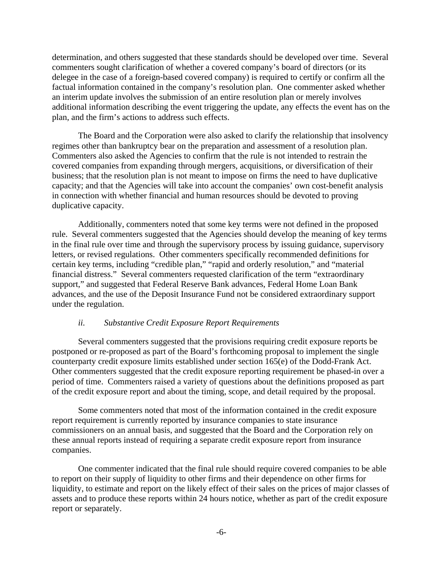determination, and others suggested that these standards should be developed over time. Several commenters sought clarification of whether a covered company's board of directors (or its delegee in the case of a foreign-based covered company) is required to certify or confirm all the factual information contained in the company's resolution plan. One commenter asked whether an interim update involves the submission of an entire resolution plan or merely involves additional information describing the event triggering the update, any effects the event has on the plan, and the firm's actions to address such effects.

The Board and the Corporation were also asked to clarify the relationship that insolvency regimes other than bankruptcy bear on the preparation and assessment of a resolution plan. Commenters also asked the Agencies to confirm that the rule is not intended to restrain the covered companies from expanding through mergers, acquisitions, or diversification of their business; that the resolution plan is not meant to impose on firms the need to have duplicative capacity; and that the Agencies will take into account the companies' own cost-benefit analysis in connection with whether financial and human resources should be devoted to proving duplicative capacity.

Additionally, commenters noted that some key terms were not defined in the proposed rule. Several commenters suggested that the Agencies should develop the meaning of key terms in the final rule over time and through the supervisory process by issuing guidance, supervisory letters, or revised regulations. Other commenters specifically recommended definitions for certain key terms, including "credible plan," "rapid and orderly resolution," and "material financial distress." Several commenters requested clarification of the term "extraordinary support," and suggested that Federal Reserve Bank advances, Federal Home Loan Bank advances, and the use of the Deposit Insurance Fund not be considered extraordinary support under the regulation.

#### *ii. Substantive Credit Exposure Report Requirements*

Several commenters suggested that the provisions requiring credit exposure reports be postponed or re-proposed as part of the Board's forthcoming proposal to implement the single counterparty credit exposure limits established under section 165(e) of the Dodd-Frank Act. Other commenters suggested that the credit exposure reporting requirement be phased-in over a period of time. Commenters raised a variety of questions about the definitions proposed as part of the credit exposure report and about the timing, scope, and detail required by the proposal.

Some commenters noted that most of the information contained in the credit exposure report requirement is currently reported by insurance companies to state insurance commissioners on an annual basis, and suggested that the Board and the Corporation rely on these annual reports instead of requiring a separate credit exposure report from insurance companies.

One commenter indicated that the final rule should require covered companies to be able to report on their supply of liquidity to other firms and their dependence on other firms for liquidity, to estimate and report on the likely effect of their sales on the prices of major classes of assets and to produce these reports within 24 hours notice, whether as part of the credit exposure report or separately.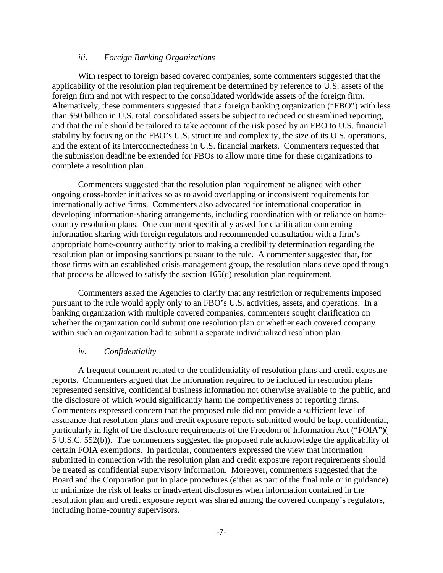#### *iii. Foreign Banking Organizations*

With respect to foreign based covered companies, some commenters suggested that the applicability of the resolution plan requirement be determined by reference to U.S. assets of the foreign firm and not with respect to the consolidated worldwide assets of the foreign firm. Alternatively, these commenters suggested that a foreign banking organization ("FBO") with less than \$50 billion in U.S. total consolidated assets be subject to reduced or streamlined reporting, and that the rule should be tailored to take account of the risk posed by an FBO to U.S. financial stability by focusing on the FBO's U.S. structure and complexity, the size of its U.S. operations, and the extent of its interconnectedness in U.S. financial markets. Commenters requested that the submission deadline be extended for FBOs to allow more time for these organizations to complete a resolution plan.

Commenters suggested that the resolution plan requirement be aligned with other ongoing cross-border initiatives so as to avoid overlapping or inconsistent requirements for internationally active firms. Commenters also advocated for international cooperation in developing information-sharing arrangements, including coordination with or reliance on homecountry resolution plans. One comment specifically asked for clarification concerning information sharing with foreign regulators and recommended consultation with a firm's appropriate home-country authority prior to making a credibility determination regarding the resolution plan or imposing sanctions pursuant to the rule. A commenter suggested that, for those firms with an established crisis management group, the resolution plans developed through that process be allowed to satisfy the section 165(d) resolution plan requirement.

Commenters asked the Agencies to clarify that any restriction or requirements imposed pursuant to the rule would apply only to an FBO's U.S. activities, assets, and operations. In a banking organization with multiple covered companies, commenters sought clarification on whether the organization could submit one resolution plan or whether each covered company within such an organization had to submit a separate individualized resolution plan.

#### *iv. Confidentiality*

A frequent comment related to the confidentiality of resolution plans and credit exposure reports. Commenters argued that the information required to be included in resolution plans represented sensitive, confidential business information not otherwise available to the public, and the disclosure of which would significantly harm the competitiveness of reporting firms. Commenters expressed concern that the proposed rule did not provide a sufficient level of assurance that resolution plans and credit exposure reports submitted would be kept confidential, particularly in light of the disclosure requirements of the Freedom of Information Act ("FOIA")( 5 U.S.C. 552(b)). The commenters suggested the proposed rule acknowledge the applicability of certain FOIA exemptions. In particular, commenters expressed the view that information submitted in connection with the resolution plan and credit exposure report requirements should be treated as confidential supervisory information. Moreover, commenters suggested that the Board and the Corporation put in place procedures (either as part of the final rule or in guidance) to minimize the risk of leaks or inadvertent disclosures when information contained in the resolution plan and credit exposure report was shared among the covered company's regulators, including home-country supervisors.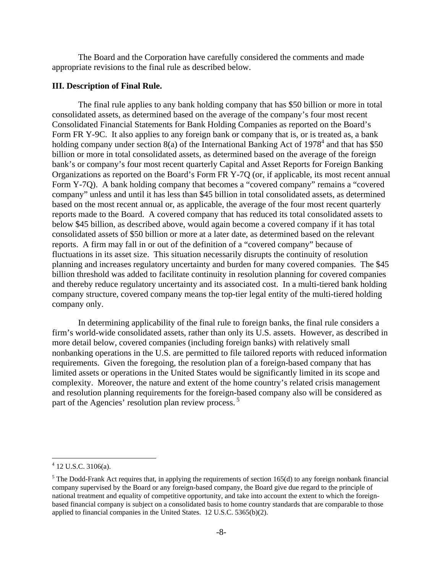The Board and the Corporation have carefully considered the comments and made appropriate revisions to the final rule as described below.

#### **III. Description of Final Rule.**

The final rule applies to any bank holding company that has \$50 billion or more in total consolidated assets, as determined based on the average of the company's four most recent Consolidated Financial Statements for Bank Holding Companies as reported on the Board's Form FR Y-9C. It also applies to any foreign bank or company that is, or is treated as, a bank holding company under section  $8(a)$  of the International Banking Act of 1978<sup>4</sup> and that has \$50 billion or more in total consolidated assets, as determined based on the average of the foreign bank's or company's four most recent quarterly Capital and Asset Reports for Foreign Banking Organizations as reported on the Board's Form FR Y-7Q (or, if applicable, its most recent annual Form Y-7Q). A bank holding company that becomes a "covered company" remains a "covered company" unless and until it has less than \$45 billion in total consolidated assets, as determined based on the most recent annual or, as applicable, the average of the four most recent quarterly reports made to the Board. A covered company that has reduced its total consolidated assets to below \$45 billion, as described above, would again become a covered company if it has total consolidated assets of \$50 billion or more at a later date, as determined based on the relevant reports. A firm may fall in or out of the definition of a "covered company" because of fluctuations in its asset size. This situation necessarily disrupts the continuity of resolution planning and increases regulatory uncertainty and burden for many covered companies. The \$45 billion threshold was added to facilitate continuity in resolution planning for covered companies and thereby reduce regulatory uncertainty and its associated cost. In a multi-tiered bank holding company structure, covered company means the top-tier legal entity of the multi-tiered holding company only.

In determining applicability of the final rule to foreign banks, the final rule considers a firm's world-wide consolidated assets, rather than only its U.S. assets. However, as described in more detail below, covered companies (including foreign banks) with relatively small nonbanking operations in the U.S. are permitted to file tailored reports with reduced information requirements. Given the foregoing, the resolution plan of a foreign-based company that has limited assets or operations in the United States would be significantly limited in its scope and complexity. Moreover, the nature and extent of the home country's related crisis management and resolution planning requirements for the foreign-based company also will be considered as part of the Agencies' resolution plan review process.<sup>5</sup>

 $\overline{a}$ 

 $4$  12 U.S.C. 3106(a).

 $<sup>5</sup>$  The Dodd-Frank Act requires that, in applying the requirements of section 165(d) to any foreign nonbank financial</sup> company supervised by the Board or any foreign-based company, the Board give due regard to the principle of national treatment and equality of competitive opportunity, and take into account the extent to which the foreignbased financial company is subject on a consolidated basis to home country standards that are comparable to those applied to financial companies in the United States. 12 U.S.C. 5365(b)(2).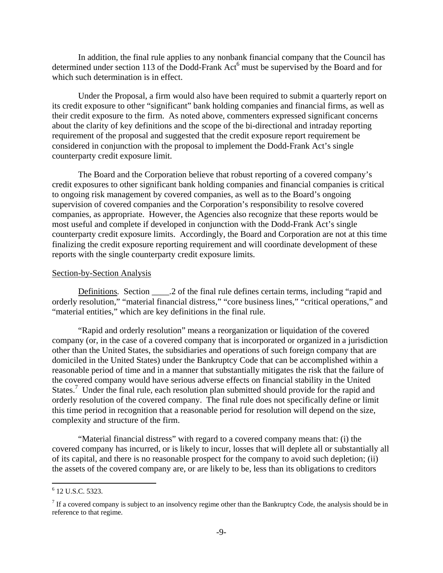In addition, the final rule applies to any nonbank financial company that the Council has determined under section 113 of the Dodd-Frank Act<sup>6</sup> must be supervised by the Board and for which such determination is in effect.

Under the Proposal, a firm would also have been required to submit a quarterly report on its credit exposure to other "significant" bank holding companies and financial firms, as well as their credit exposure to the firm. As noted above, commenters expressed significant concerns about the clarity of key definitions and the scope of the bi-directional and intraday reporting requirement of the proposal and suggested that the credit exposure report requirement be considered in conjunction with the proposal to implement the Dodd-Frank Act's single counterparty credit exposure limit.

The Board and the Corporation believe that robust reporting of a covered company's credit exposures to other significant bank holding companies and financial companies is critical to ongoing risk management by covered companies, as well as to the Board's ongoing supervision of covered companies and the Corporation's responsibility to resolve covered companies, as appropriate. However, the Agencies also recognize that these reports would be most useful and complete if developed in conjunction with the Dodd-Frank Act's single counterparty credit exposure limits. Accordingly, the Board and Corporation are not at this time finalizing the credit exposure reporting requirement and will coordinate development of these reports with the single counterparty credit exposure limits.

#### Section-by-Section Analysis

Definitions. Section 2.2 of the final rule defines certain terms, including "rapid and orderly resolution," "material financial distress," "core business lines," "critical operations," and "material entities," which are key definitions in the final rule.

"Rapid and orderly resolution" means a reorganization or liquidation of the covered company (or, in the case of a covered company that is incorporated or organized in a jurisdiction other than the United States, the subsidiaries and operations of such foreign company that are domiciled in the United States) under the Bankruptcy Code that can be accomplished within a reasonable period of time and in a manner that substantially mitigates the risk that the failure of the covered company would have serious adverse effects on financial stability in the United States.<sup>7</sup> Under the final rule, each resolution plan submitted should provide for the rapid and orderly resolution of the covered company. The final rule does not specifically define or limit this time period in recognition that a reasonable period for resolution will depend on the size, complexity and structure of the firm.

"Material financial distress" with regard to a covered company means that: (i) the covered company has incurred, or is likely to incur, losses that will deplete all or substantially all of its capital, and there is no reasonable prospect for the company to avoid such depletion; (ii) the assets of the covered company are, or are likely to be, less than its obligations to creditors

<sup>&</sup>lt;sup>6</sup> 12 U.S.C. 5323.

 $<sup>7</sup>$  If a covered company is subject to an insolvency regime other than the Bankruptcy Code, the analysis should be in</sup> reference to that regime.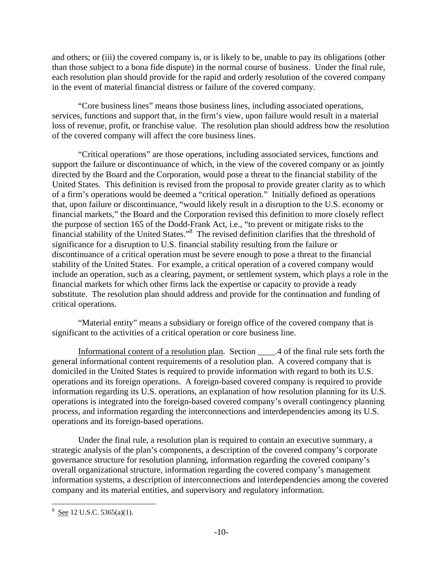and others; or (iii) the covered company is, or is likely to be, unable to pay its obligations (other than those subject to a bona fide dispute) in the normal course of business. Under the final rule, each resolution plan should provide for the rapid and orderly resolution of the covered company in the event of material financial distress or failure of the covered company.

"Core business lines" means those business lines, including associated operations, services, functions and support that, in the firm's view, upon failure would result in a material loss of revenue, profit, or franchise value. The resolution plan should address how the resolution of the covered company will affect the core business lines.

"Critical operations" are those operations, including associated services, functions and support the failure or discontinuance of which, in the view of the covered company or as jointly directed by the Board and the Corporation, would pose a threat to the financial stability of the United States. This definition is revised from the proposal to provide greater clarity as to which of a firm's operations would be deemed a "critical operation." Initially defined as operations that, upon failure or discontinuance, "would likely result in a disruption to the U.S. economy or financial markets," the Board and the Corporation revised this definition to more closely reflect the purpose of section 165 of the Dodd-Frank Act, i.e., "to prevent or mitigate risks to the financial stability of the United States."<sup>8</sup> The revised definition clarifies that the threshold of significance for a disruption to U.S. financial stability resulting from the failure or discontinuance of a critical operation must be severe enough to pose a threat to the financial stability of the United States. For example, a critical operation of a covered company would include an operation, such as a clearing, payment, or settlement system, which plays a role in the financial markets for which other firms lack the expertise or capacity to provide a ready substitute. The resolution plan should address and provide for the continuation and funding of critical operations.

"Material entity" means a subsidiary or foreign office of the covered company that is significant to the activities of a critical operation or core business line.

Informational content of a resolution plan. Section \_\_\_\_.4 of the final rule sets forth the general informational content requirements of a resolution plan. A covered company that is domiciled in the United States is required to provide information with regard to both its U.S. operations and its foreign operations. A foreign-based covered company is required to provide information regarding its U.S. operations, an explanation of how resolution planning for its U.S. operations is integrated into the foreign-based covered company's overall contingency planning process, and information regarding the interconnections and interdependencies among its U.S. operations and its foreign-based operations.

Under the final rule, a resolution plan is required to contain an executive summary, a strategic analysis of the plan's components, a description of the covered company's corporate governance structure for resolution planning, information regarding the covered company's overall organizational structure, information regarding the covered company's management information systems, a description of interconnections and interdependencies among the covered company and its material entities, and supervisory and regulatory information.

 $\overline{a}$ 

 $8 \text{ See } 12 \text{ U.S.C. } 5365(a)(1).$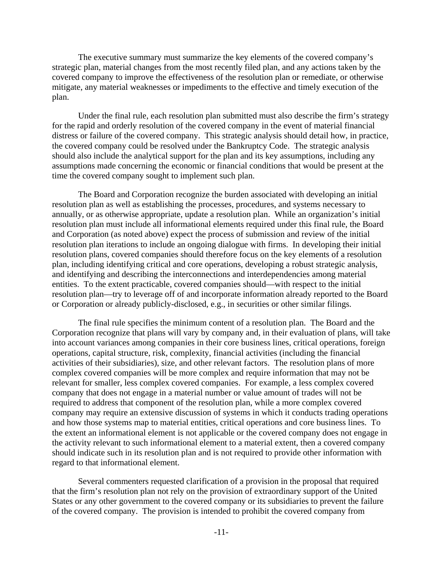The executive summary must summarize the key elements of the covered company's strategic plan, material changes from the most recently filed plan, and any actions taken by the covered company to improve the effectiveness of the resolution plan or remediate, or otherwise mitigate, any material weaknesses or impediments to the effective and timely execution of the plan.

Under the final rule, each resolution plan submitted must also describe the firm's strategy for the rapid and orderly resolution of the covered company in the event of material financial distress or failure of the covered company. This strategic analysis should detail how, in practice, the covered company could be resolved under the Bankruptcy Code. The strategic analysis should also include the analytical support for the plan and its key assumptions, including any assumptions made concerning the economic or financial conditions that would be present at the time the covered company sought to implement such plan.

The Board and Corporation recognize the burden associated with developing an initial resolution plan as well as establishing the processes, procedures, and systems necessary to annually, or as otherwise appropriate, update a resolution plan. While an organization's initial resolution plan must include all informational elements required under this final rule, the Board and Corporation (as noted above) expect the process of submission and review of the initial resolution plan iterations to include an ongoing dialogue with firms. In developing their initial resolution plans, covered companies should therefore focus on the key elements of a resolution plan, including identifying critical and core operations, developing a robust strategic analysis, and identifying and describing the interconnections and interdependencies among material entities. To the extent practicable, covered companies should—with respect to the initial resolution plan—try to leverage off of and incorporate information already reported to the Board or Corporation or already publicly-disclosed, e.g., in securities or other similar filings.

The final rule specifies the minimum content of a resolution plan. The Board and the Corporation recognize that plans will vary by company and, in their evaluation of plans, will take into account variances among companies in their core business lines, critical operations, foreign operations, capital structure, risk, complexity, financial activities (including the financial activities of their subsidiaries), size, and other relevant factors. The resolution plans of more complex covered companies will be more complex and require information that may not be relevant for smaller, less complex covered companies. For example, a less complex covered company that does not engage in a material number or value amount of trades will not be required to address that component of the resolution plan, while a more complex covered company may require an extensive discussion of systems in which it conducts trading operations and how those systems map to material entities, critical operations and core business lines. To the extent an informational element is not applicable or the covered company does not engage in the activity relevant to such informational element to a material extent, then a covered company should indicate such in its resolution plan and is not required to provide other information with regard to that informational element.

Several commenters requested clarification of a provision in the proposal that required that the firm's resolution plan not rely on the provision of extraordinary support of the United States or any other government to the covered company or its subsidiaries to prevent the failure of the covered company. The provision is intended to prohibit the covered company from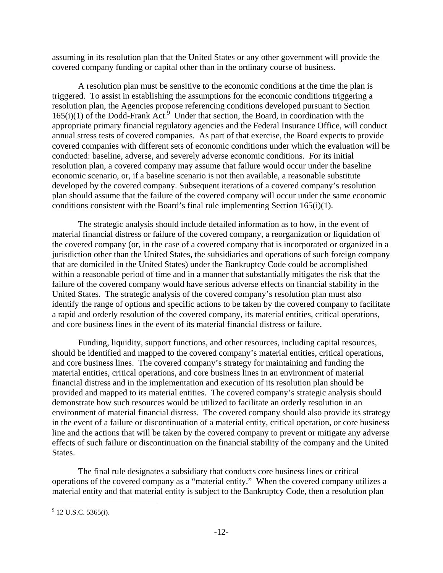assuming in its resolution plan that the United States or any other government will provide the covered company funding or capital other than in the ordinary course of business.

A resolution plan must be sensitive to the economic conditions at the time the plan is triggered. To assist in establishing the assumptions for the economic conditions triggering a resolution plan, the Agencies propose referencing conditions developed pursuant to Section  $165(i)(1)$  of the Dodd-Frank Act.<sup>5</sup> Under that section, the Board, in coordination with the appropriate primary financial regulatory agencies and the Federal Insurance Office, will conduct annual stress tests of covered companies. As part of that exercise, the Board expects to provide covered companies with different sets of economic conditions under which the evaluation will be conducted: baseline, adverse, and severely adverse economic conditions. For its initial resolution plan, a covered company may assume that failure would occur under the baseline economic scenario, or, if a baseline scenario is not then available, a reasonable substitute developed by the covered company. Subsequent iterations of a covered company's resolution plan should assume that the failure of the covered company will occur under the same economic conditions consistent with the Board's final rule implementing Section 165(i)(1).

The strategic analysis should include detailed information as to how, in the event of material financial distress or failure of the covered company, a reorganization or liquidation of the covered company (or, in the case of a covered company that is incorporated or organized in a jurisdiction other than the United States, the subsidiaries and operations of such foreign company that are domiciled in the United States) under the Bankruptcy Code could be accomplished within a reasonable period of time and in a manner that substantially mitigates the risk that the failure of the covered company would have serious adverse effects on financial stability in the United States. The strategic analysis of the covered company's resolution plan must also identify the range of options and specific actions to be taken by the covered company to facilitate a rapid and orderly resolution of the covered company, its material entities, critical operations, and core business lines in the event of its material financial distress or failure.

Funding, liquidity, support functions, and other resources, including capital resources, should be identified and mapped to the covered company's material entities, critical operations, and core business lines. The covered company's strategy for maintaining and funding the material entities, critical operations, and core business lines in an environment of material financial distress and in the implementation and execution of its resolution plan should be provided and mapped to its material entities. The covered company's strategic analysis should demonstrate how such resources would be utilized to facilitate an orderly resolution in an environment of material financial distress. The covered company should also provide its strategy in the event of a failure or discontinuation of a material entity, critical operation, or core business line and the actions that will be taken by the covered company to prevent or mitigate any adverse effects of such failure or discontinuation on the financial stability of the company and the United States.

The final rule designates a subsidiary that conducts core business lines or critical operations of the covered company as a "material entity." When the covered company utilizes a material entity and that material entity is subject to the Bankruptcy Code, then a resolution plan

 $\overline{a}$ 

 $9$  12 U.S.C. 5365(i).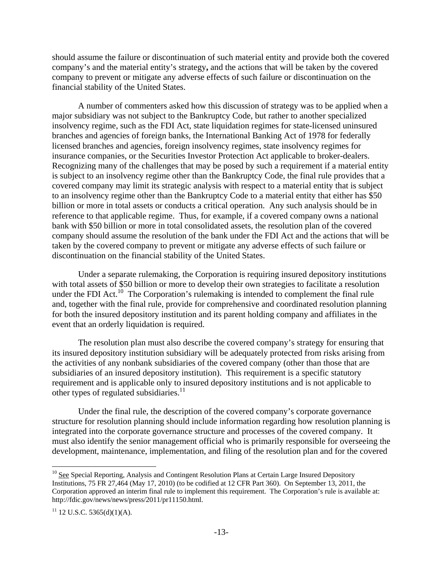should assume the failure or discontinuation of such material entity and provide both the covered company's and the material entity's strategy**,** and the actions that will be taken by the covered company to prevent or mitigate any adverse effects of such failure or discontinuation on the financial stability of the United States.

A number of commenters asked how this discussion of strategy was to be applied when a major subsidiary was not subject to the Bankruptcy Code, but rather to another specialized insolvency regime, such as the FDI Act, state liquidation regimes for state-licensed uninsured branches and agencies of foreign banks, the International Banking Act of 1978 for federally licensed branches and agencies, foreign insolvency regimes, state insolvency regimes for insurance companies, or the Securities Investor Protection Act applicable to broker-dealers. Recognizing many of the challenges that may be posed by such a requirement if a material entity is subject to an insolvency regime other than the Bankruptcy Code, the final rule provides that a covered company may limit its strategic analysis with respect to a material entity that is subject to an insolvency regime other than the Bankruptcy Code to a material entity that either has \$50 billion or more in total assets or conducts a critical operation. Any such analysis should be in reference to that applicable regime. Thus, for example, if a covered company owns a national bank with \$50 billion or more in total consolidated assets, the resolution plan of the covered company should assume the resolution of the bank under the FDI Act and the actions that will be taken by the covered company to prevent or mitigate any adverse effects of such failure or discontinuation on the financial stability of the United States.

Under a separate rulemaking, the Corporation is requiring insured depository institutions with total assets of \$50 billion or more to develop their own strategies to facilitate a resolution under the FDI Act.<sup>10</sup> The Corporation's rulemaking is intended to complement the final rule and, together with the final rule, provide for comprehensive and coordinated resolution planning for both the insured depository institution and its parent holding company and affiliates in the event that an orderly liquidation is required.

The resolution plan must also describe the covered company's strategy for ensuring that its insured depository institution subsidiary will be adequately protected from risks arising from the activities of any nonbank subsidiaries of the covered company (other than those that are subsidiaries of an insured depository institution). This requirement is a specific statutory requirement and is applicable only to insured depository institutions and is not applicable to other types of regulated subsidiaries.<sup>11</sup>

Under the final rule, the description of the covered company's corporate governance structure for resolution planning should include information regarding how resolution planning is integrated into the corporate governance structure and processes of the covered company. It must also identify the senior management official who is primarily responsible for overseeing the development, maintenance, implementation, and filing of the resolution plan and for the covered

1

<sup>&</sup>lt;sup>10</sup> See Special Reporting, Analysis and Contingent Resolution Plans at Certain Large Insured Depository Institutions, 75 FR 27,464 (May 17, 2010) (to be codified at 12 CFR Part 360). On September 13, 2011, the Corporation approved an interim final rule to implement this requirement. The Corporation's rule is available at: http://fdic.gov/news/news/press/2011/pr11150.html.

 $11$  12 U.S.C. 5365(d)(1)(A).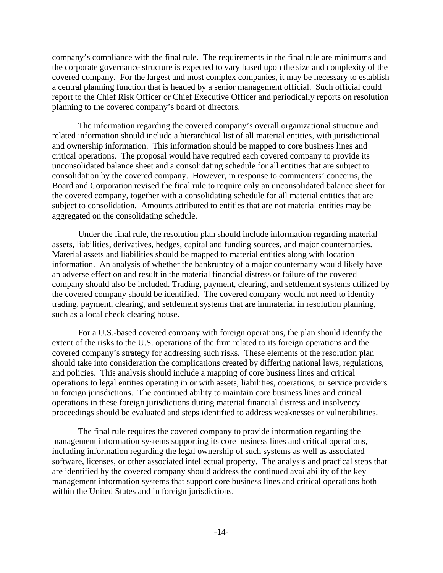company's compliance with the final rule. The requirements in the final rule are minimums and the corporate governance structure is expected to vary based upon the size and complexity of the covered company. For the largest and most complex companies, it may be necessary to establish a central planning function that is headed by a senior management official. Such official could report to the Chief Risk Officer or Chief Executive Officer and periodically reports on resolution planning to the covered company's board of directors.

The information regarding the covered company's overall organizational structure and related information should include a hierarchical list of all material entities, with jurisdictional and ownership information. This information should be mapped to core business lines and critical operations. The proposal would have required each covered company to provide its unconsolidated balance sheet and a consolidating schedule for all entities that are subject to consolidation by the covered company. However, in response to commenters' concerns, the Board and Corporation revised the final rule to require only an unconsolidated balance sheet for the covered company, together with a consolidating schedule for all material entities that are subject to consolidation. Amounts attributed to entities that are not material entities may be aggregated on the consolidating schedule.

Under the final rule, the resolution plan should include information regarding material assets, liabilities, derivatives, hedges, capital and funding sources, and major counterparties. Material assets and liabilities should be mapped to material entities along with location information. An analysis of whether the bankruptcy of a major counterparty would likely have an adverse effect on and result in the material financial distress or failure of the covered company should also be included. Trading, payment, clearing, and settlement systems utilized by the covered company should be identified. The covered company would not need to identify trading, payment, clearing, and settlement systems that are immaterial in resolution planning, such as a local check clearing house.

For a U.S.-based covered company with foreign operations, the plan should identify the extent of the risks to the U.S. operations of the firm related to its foreign operations and the covered company's strategy for addressing such risks. These elements of the resolution plan should take into consideration the complications created by differing national laws, regulations, and policies. This analysis should include a mapping of core business lines and critical operations to legal entities operating in or with assets, liabilities, operations, or service providers in foreign jurisdictions. The continued ability to maintain core business lines and critical operations in these foreign jurisdictions during material financial distress and insolvency proceedings should be evaluated and steps identified to address weaknesses or vulnerabilities.

The final rule requires the covered company to provide information regarding the management information systems supporting its core business lines and critical operations, including information regarding the legal ownership of such systems as well as associated software, licenses, or other associated intellectual property. The analysis and practical steps that are identified by the covered company should address the continued availability of the key management information systems that support core business lines and critical operations both within the United States and in foreign jurisdictions.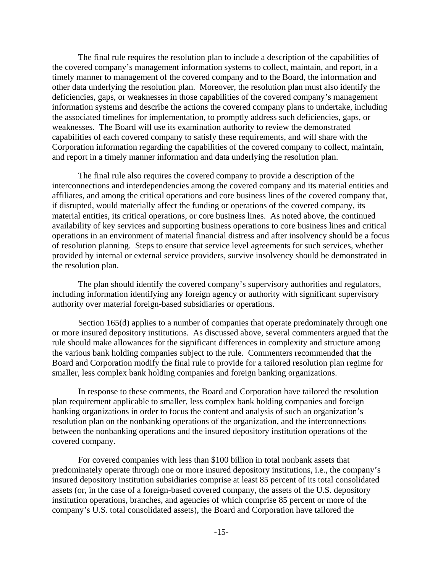The final rule requires the resolution plan to include a description of the capabilities of the covered company's management information systems to collect, maintain, and report, in a timely manner to management of the covered company and to the Board, the information and other data underlying the resolution plan. Moreover, the resolution plan must also identify the deficiencies, gaps, or weaknesses in those capabilities of the covered company's management information systems and describe the actions the covered company plans to undertake, including the associated timelines for implementation, to promptly address such deficiencies, gaps, or weaknesses. The Board will use its examination authority to review the demonstrated capabilities of each covered company to satisfy these requirements, and will share with the Corporation information regarding the capabilities of the covered company to collect, maintain, and report in a timely manner information and data underlying the resolution plan.

The final rule also requires the covered company to provide a description of the interconnections and interdependencies among the covered company and its material entities and affiliates, and among the critical operations and core business lines of the covered company that, if disrupted, would materially affect the funding or operations of the covered company, its material entities, its critical operations, or core business lines. As noted above, the continued availability of key services and supporting business operations to core business lines and critical operations in an environment of material financial distress and after insolvency should be a focus of resolution planning. Steps to ensure that service level agreements for such services, whether provided by internal or external service providers, survive insolvency should be demonstrated in the resolution plan.

The plan should identify the covered company's supervisory authorities and regulators, including information identifying any foreign agency or authority with significant supervisory authority over material foreign-based subsidiaries or operations.

Section 165(d) applies to a number of companies that operate predominately through one or more insured depository institutions. As discussed above, several commenters argued that the rule should make allowances for the significant differences in complexity and structure among the various bank holding companies subject to the rule. Commenters recommended that the Board and Corporation modify the final rule to provide for a tailored resolution plan regime for smaller, less complex bank holding companies and foreign banking organizations.

In response to these comments, the Board and Corporation have tailored the resolution plan requirement applicable to smaller, less complex bank holding companies and foreign banking organizations in order to focus the content and analysis of such an organization's resolution plan on the nonbanking operations of the organization, and the interconnections between the nonbanking operations and the insured depository institution operations of the covered company.

For covered companies with less than \$100 billion in total nonbank assets that predominately operate through one or more insured depository institutions, i.e., the company's insured depository institution subsidiaries comprise at least 85 percent of its total consolidated assets (or, in the case of a foreign-based covered company, the assets of the U.S. depository institution operations, branches, and agencies of which comprise 85 percent or more of the company's U.S. total consolidated assets), the Board and Corporation have tailored the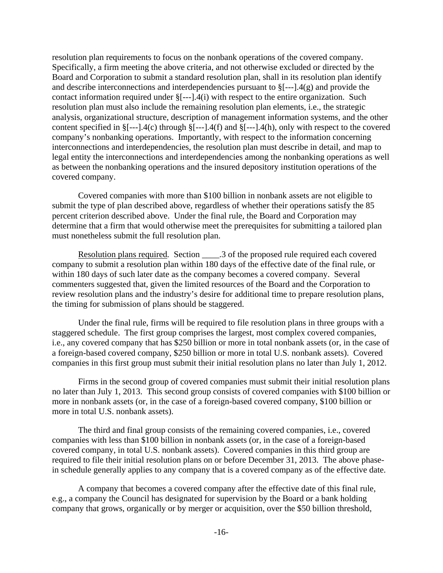resolution plan requirements to focus on the nonbank operations of the covered company. Specifically, a firm meeting the above criteria, and not otherwise excluded or directed by the Board and Corporation to submit a standard resolution plan, shall in its resolution plan identify and describe interconnections and interdependencies pursuant to §[---].4(g) and provide the contact information required under §[---].4(i) with respect to the entire organization. Such resolution plan must also include the remaining resolution plan elements, i.e., the strategic analysis, organizational structure, description of management information systems, and the other content specified in  $\S[-1.4(c)$  through  $\S[-1.4(f)$  and  $\S[-1.4(h)$ , only with respect to the covered company's nonbanking operations. Importantly, with respect to the information concerning interconnections and interdependencies, the resolution plan must describe in detail, and map to legal entity the interconnections and interdependencies among the nonbanking operations as well as between the nonbanking operations and the insured depository institution operations of the covered company.

Covered companies with more than \$100 billion in nonbank assets are not eligible to submit the type of plan described above, regardless of whether their operations satisfy the 85 percent criterion described above. Under the final rule, the Board and Corporation may determine that a firm that would otherwise meet the prerequisites for submitting a tailored plan must nonetheless submit the full resolution plan.

Resolution plans required*.* Section \_\_\_\_.3 of the proposed rule required each covered company to submit a resolution plan within 180 days of the effective date of the final rule, or within 180 days of such later date as the company becomes a covered company. Several commenters suggested that, given the limited resources of the Board and the Corporation to review resolution plans and the industry's desire for additional time to prepare resolution plans, the timing for submission of plans should be staggered.

Under the final rule, firms will be required to file resolution plans in three groups with a staggered schedule. The first group comprises the largest, most complex covered companies, i.e., any covered company that has \$250 billion or more in total nonbank assets (or, in the case of a foreign-based covered company, \$250 billion or more in total U.S. nonbank assets). Covered companies in this first group must submit their initial resolution plans no later than July 1, 2012.

Firms in the second group of covered companies must submit their initial resolution plans no later than July 1, 2013. This second group consists of covered companies with \$100 billion or more in nonbank assets (or, in the case of a foreign-based covered company, \$100 billion or more in total U.S. nonbank assets).

The third and final group consists of the remaining covered companies, i.e., covered companies with less than \$100 billion in nonbank assets (or, in the case of a foreign-based covered company, in total U.S. nonbank assets). Covered companies in this third group are required to file their initial resolution plans on or before December 31, 2013. The above phasein schedule generally applies to any company that is a covered company as of the effective date.

A company that becomes a covered company after the effective date of this final rule, e.g., a company the Council has designated for supervision by the Board or a bank holding company that grows, organically or by merger or acquisition, over the \$50 billion threshold,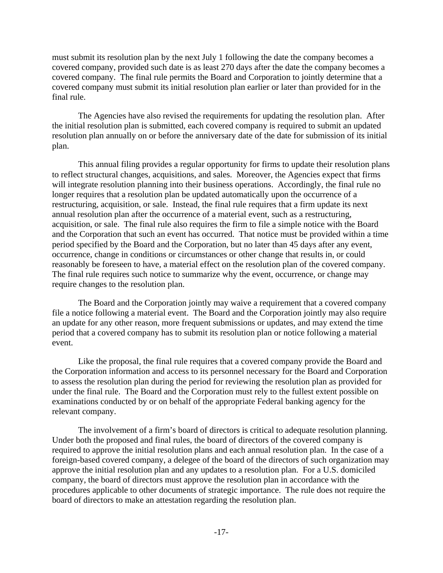must submit its resolution plan by the next July 1 following the date the company becomes a covered company, provided such date is as least 270 days after the date the company becomes a covered company. The final rule permits the Board and Corporation to jointly determine that a covered company must submit its initial resolution plan earlier or later than provided for in the final rule.

The Agencies have also revised the requirements for updating the resolution plan. After the initial resolution plan is submitted, each covered company is required to submit an updated resolution plan annually on or before the anniversary date of the date for submission of its initial plan.

This annual filing provides a regular opportunity for firms to update their resolution plans to reflect structural changes, acquisitions, and sales. Moreover, the Agencies expect that firms will integrate resolution planning into their business operations. Accordingly, the final rule no longer requires that a resolution plan be updated automatically upon the occurrence of a restructuring, acquisition, or sale. Instead, the final rule requires that a firm update its next annual resolution plan after the occurrence of a material event, such as a restructuring, acquisition, or sale. The final rule also requires the firm to file a simple notice with the Board and the Corporation that such an event has occurred. That notice must be provided within a time period specified by the Board and the Corporation, but no later than 45 days after any event, occurrence, change in conditions or circumstances or other change that results in, or could reasonably be foreseen to have, a material effect on the resolution plan of the covered company. The final rule requires such notice to summarize why the event, occurrence, or change may require changes to the resolution plan.

The Board and the Corporation jointly may waive a requirement that a covered company file a notice following a material event. The Board and the Corporation jointly may also require an update for any other reason, more frequent submissions or updates, and may extend the time period that a covered company has to submit its resolution plan or notice following a material event.

Like the proposal, the final rule requires that a covered company provide the Board and the Corporation information and access to its personnel necessary for the Board and Corporation to assess the resolution plan during the period for reviewing the resolution plan as provided for under the final rule. The Board and the Corporation must rely to the fullest extent possible on examinations conducted by or on behalf of the appropriate Federal banking agency for the relevant company.

The involvement of a firm's board of directors is critical to adequate resolution planning. Under both the proposed and final rules, the board of directors of the covered company is required to approve the initial resolution plans and each annual resolution plan. In the case of a foreign-based covered company, a delegee of the board of the directors of such organization may approve the initial resolution plan and any updates to a resolution plan. For a U.S. domiciled company, the board of directors must approve the resolution plan in accordance with the procedures applicable to other documents of strategic importance. The rule does not require the board of directors to make an attestation regarding the resolution plan.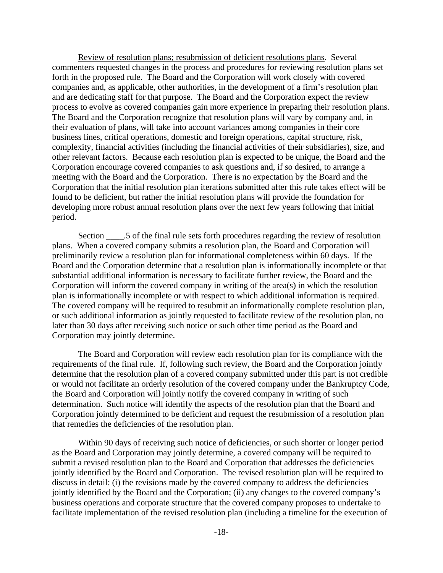Review of resolution plans; resubmission of deficient resolutions plans*.* Several commenters requested changes in the process and procedures for reviewing resolution plans set forth in the proposed rule. The Board and the Corporation will work closely with covered companies and, as applicable, other authorities, in the development of a firm's resolution plan and are dedicating staff for that purpose. The Board and the Corporation expect the review process to evolve as covered companies gain more experience in preparing their resolution plans. The Board and the Corporation recognize that resolution plans will vary by company and, in their evaluation of plans, will take into account variances among companies in their core business lines, critical operations, domestic and foreign operations, capital structure, risk, complexity, financial activities (including the financial activities of their subsidiaries), size, and other relevant factors. Because each resolution plan is expected to be unique, the Board and the Corporation encourage covered companies to ask questions and, if so desired, to arrange a meeting with the Board and the Corporation. There is no expectation by the Board and the Corporation that the initial resolution plan iterations submitted after this rule takes effect will be found to be deficient, but rather the initial resolution plans will provide the foundation for developing more robust annual resolution plans over the next few years following that initial period.

Section \_\_\_\_.5 of the final rule sets forth procedures regarding the review of resolution plans. When a covered company submits a resolution plan, the Board and Corporation will preliminarily review a resolution plan for informational completeness within 60 days. If the Board and the Corporation determine that a resolution plan is informationally incomplete or that substantial additional information is necessary to facilitate further review, the Board and the Corporation will inform the covered company in writing of the area(s) in which the resolution plan is informationally incomplete or with respect to which additional information is required. The covered company will be required to resubmit an informationally complete resolution plan, or such additional information as jointly requested to facilitate review of the resolution plan, no later than 30 days after receiving such notice or such other time period as the Board and Corporation may jointly determine.

The Board and Corporation will review each resolution plan for its compliance with the requirements of the final rule. If, following such review, the Board and the Corporation jointly determine that the resolution plan of a covered company submitted under this part is not credible or would not facilitate an orderly resolution of the covered company under the Bankruptcy Code, the Board and Corporation will jointly notify the covered company in writing of such determination. Such notice will identify the aspects of the resolution plan that the Board and Corporation jointly determined to be deficient and request the resubmission of a resolution plan that remedies the deficiencies of the resolution plan.

Within 90 days of receiving such notice of deficiencies, or such shorter or longer period as the Board and Corporation may jointly determine, a covered company will be required to submit a revised resolution plan to the Board and Corporation that addresses the deficiencies jointly identified by the Board and Corporation. The revised resolution plan will be required to discuss in detail: (i) the revisions made by the covered company to address the deficiencies jointly identified by the Board and the Corporation; (ii) any changes to the covered company's business operations and corporate structure that the covered company proposes to undertake to facilitate implementation of the revised resolution plan (including a timeline for the execution of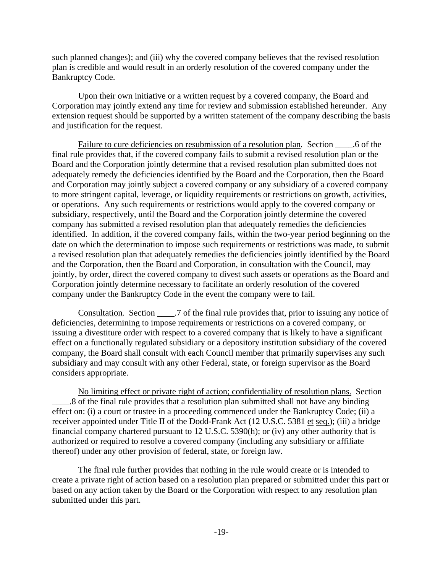such planned changes); and (iii) why the covered company believes that the revised resolution plan is credible and would result in an orderly resolution of the covered company under the Bankruptcy Code.

Upon their own initiative or a written request by a covered company, the Board and Corporation may jointly extend any time for review and submission established hereunder. Any extension request should be supported by a written statement of the company describing the basis and justification for the request.

Failure to cure deficiencies on resubmission of a resolution plan*.* Section \_\_\_\_.6 of the final rule provides that, if the covered company fails to submit a revised resolution plan or the Board and the Corporation jointly determine that a revised resolution plan submitted does not adequately remedy the deficiencies identified by the Board and the Corporation, then the Board and Corporation may jointly subject a covered company or any subsidiary of a covered company to more stringent capital, leverage, or liquidity requirements or restrictions on growth, activities, or operations. Any such requirements or restrictions would apply to the covered company or subsidiary, respectively, until the Board and the Corporation jointly determine the covered company has submitted a revised resolution plan that adequately remedies the deficiencies identified. In addition, if the covered company fails, within the two-year period beginning on the date on which the determination to impose such requirements or restrictions was made, to submit a revised resolution plan that adequately remedies the deficiencies jointly identified by the Board and the Corporation, then the Board and Corporation, in consultation with the Council, may jointly, by order, direct the covered company to divest such assets or operations as the Board and Corporation jointly determine necessary to facilitate an orderly resolution of the covered company under the Bankruptcy Code in the event the company were to fail.

Consultation*.* Section \_\_\_\_.7 of the final rule provides that, prior to issuing any notice of deficiencies, determining to impose requirements or restrictions on a covered company, or issuing a divestiture order with respect to a covered company that is likely to have a significant effect on a functionally regulated subsidiary or a depository institution subsidiary of the covered company, the Board shall consult with each Council member that primarily supervises any such subsidiary and may consult with any other Federal, state, or foreign supervisor as the Board considers appropriate.

No limiting effect or private right of action; confidentiality of resolution plans. Section \_\_\_\_.8 of the final rule provides that a resolution plan submitted shall not have any binding effect on: (i) a court or trustee in a proceeding commenced under the Bankruptcy Code; (ii) a receiver appointed under Title II of the Dodd-Frank Act (12 U.S.C. 5381 et seq.); (iii) a bridge financial company chartered pursuant to 12 U.S.C. 5390(h); or (iv) any other authority that is authorized or required to resolve a covered company (including any subsidiary or affiliate thereof) under any other provision of federal, state, or foreign law.

The final rule further provides that nothing in the rule would create or is intended to create a private right of action based on a resolution plan prepared or submitted under this part or based on any action taken by the Board or the Corporation with respect to any resolution plan submitted under this part.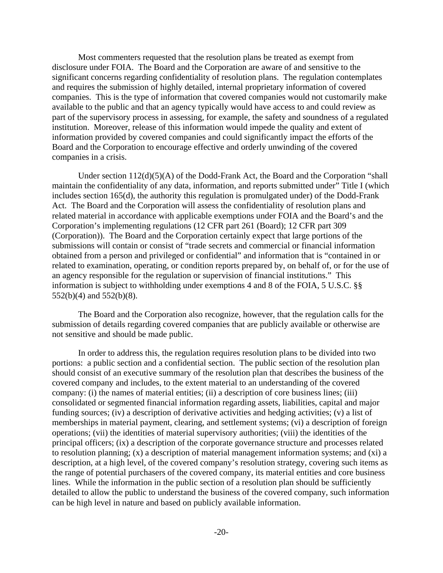Most commenters requested that the resolution plans be treated as exempt from disclosure under FOIA. The Board and the Corporation are aware of and sensitive to the significant concerns regarding confidentiality of resolution plans. The regulation contemplates and requires the submission of highly detailed, internal proprietary information of covered companies. This is the type of information that covered companies would not customarily make available to the public and that an agency typically would have access to and could review as part of the supervisory process in assessing, for example, the safety and soundness of a regulated institution. Moreover, release of this information would impede the quality and extent of information provided by covered companies and could significantly impact the efforts of the Board and the Corporation to encourage effective and orderly unwinding of the covered companies in a crisis.

Under section 112(d)(5)(A) of the Dodd-Frank Act, the Board and the Corporation "shall maintain the confidentiality of any data, information, and reports submitted under" Title I (which includes section 165(d), the authority this regulation is promulgated under) of the Dodd-Frank Act. The Board and the Corporation will assess the confidentiality of resolution plans and related material in accordance with applicable exemptions under FOIA and the Board's and the Corporation's implementing regulations (12 CFR part 261 (Board); 12 CFR part 309 (Corporation)). The Board and the Corporation certainly expect that large portions of the submissions will contain or consist of "trade secrets and commercial or financial information obtained from a person and privileged or confidential" and information that is "contained in or related to examination, operating, or condition reports prepared by, on behalf of, or for the use of an agency responsible for the regulation or supervision of financial institutions." This information is subject to withholding under exemptions 4 and 8 of the FOIA, 5 U.S.C. §§ 552(b)(4) and 552(b)(8).

The Board and the Corporation also recognize, however, that the regulation calls for the submission of details regarding covered companies that are publicly available or otherwise are not sensitive and should be made public.

In order to address this, the regulation requires resolution plans to be divided into two portions: a public section and a confidential section. The public section of the resolution plan should consist of an executive summary of the resolution plan that describes the business of the covered company and includes, to the extent material to an understanding of the covered company: (i) the names of material entities; (ii) a description of core business lines; (iii) consolidated or segmented financial information regarding assets, liabilities, capital and major funding sources; (iv) a description of derivative activities and hedging activities; (v) a list of memberships in material payment, clearing, and settlement systems; (vi) a description of foreign operations; (vii) the identities of material supervisory authorities; (viii) the identities of the principal officers; (ix) a description of the corporate governance structure and processes related to resolution planning; (x) a description of material management information systems; and (xi) a description, at a high level, of the covered company's resolution strategy, covering such items as the range of potential purchasers of the covered company, its material entities and core business lines. While the information in the public section of a resolution plan should be sufficiently detailed to allow the public to understand the business of the covered company, such information can be high level in nature and based on publicly available information.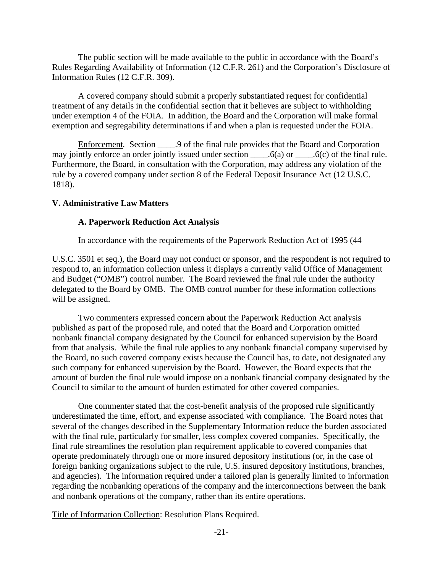The public section will be made available to the public in accordance with the Board's Rules Regarding Availability of Information (12 C.F.R. 261) and the Corporation's Disclosure of Information Rules (12 C.F.R. 309).

A covered company should submit a properly substantiated request for confidential treatment of any details in the confidential section that it believes are subject to withholding under exemption 4 of the FOIA. In addition, the Board and the Corporation will make formal exemption and segregability determinations if and when a plan is requested under the FOIA.

Enforcement*.* Section \_\_\_\_.9 of the final rule provides that the Board and Corporation may jointly enforce an order jointly issued under section \_\_\_\_\_.6(a) or \_\_\_\_\_.6(c) of the final rule. Furthermore, the Board, in consultation with the Corporation, may address any violation of the rule by a covered company under section 8 of the Federal Deposit Insurance Act (12 U.S.C. 1818).

### **V. Administrative Law Matters**

#### **A. Paperwork Reduction Act Analysis**

In accordance with the requirements of the Paperwork Reduction Act of 1995 (44

U.S.C. 3501 et seq.), the Board may not conduct or sponsor, and the respondent is not required to respond to, an information collection unless it displays a currently valid Office of Management and Budget ("OMB") control number. The Board reviewed the final rule under the authority delegated to the Board by OMB. The OMB control number for these information collections will be assigned.

Two commenters expressed concern about the Paperwork Reduction Act analysis published as part of the proposed rule, and noted that the Board and Corporation omitted nonbank financial company designated by the Council for enhanced supervision by the Board from that analysis. While the final rule applies to any nonbank financial company supervised by the Board, no such covered company exists because the Council has, to date, not designated any such company for enhanced supervision by the Board. However, the Board expects that the amount of burden the final rule would impose on a nonbank financial company designated by the Council to similar to the amount of burden estimated for other covered companies.

One commenter stated that the cost-benefit analysis of the proposed rule significantly underestimated the time, effort, and expense associated with compliance. The Board notes that several of the changes described in the Supplementary Information reduce the burden associated with the final rule, particularly for smaller, less complex covered companies. Specifically, the final rule streamlines the resolution plan requirement applicable to covered companies that operate predominately through one or more insured depository institutions (or, in the case of foreign banking organizations subject to the rule, U.S. insured depository institutions, branches, and agencies). The information required under a tailored plan is generally limited to information regarding the nonbanking operations of the company and the interconnections between the bank and nonbank operations of the company, rather than its entire operations.

Title of Information Collection: Resolution Plans Required.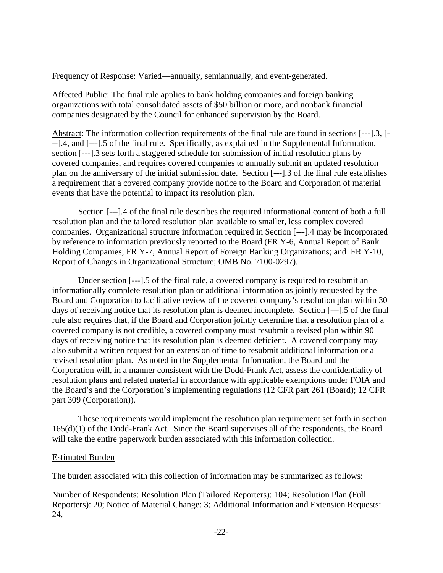Frequency of Response: Varied—annually, semiannually, and event-generated.

Affected Public: The final rule applies to bank holding companies and foreign banking organizations with total consolidated assets of \$50 billion or more, and nonbank financial companies designated by the Council for enhanced supervision by the Board.

Abstract: The information collection requirements of the final rule are found in sections [---].3, [- --].4, and [---].5 of the final rule. Specifically, as explained in the Supplemental Information, section [---].3 sets forth a staggered schedule for submission of initial resolution plans by covered companies, and requires covered companies to annually submit an updated resolution plan on the anniversary of the initial submission date. Section [---].3 of the final rule establishes a requirement that a covered company provide notice to the Board and Corporation of material events that have the potential to impact its resolution plan.

Section [---].4 of the final rule describes the required informational content of both a full resolution plan and the tailored resolution plan available to smaller, less complex covered companies. Organizational structure information required in Section [---].4 may be incorporated by reference to information previously reported to the Board (FR Y-6, Annual Report of Bank Holding Companies; FR Y-7, Annual Report of Foreign Banking Organizations; and FR Y-10, Report of Changes in Organizational Structure; OMB No. 7100-0297).

Under section [---].5 of the final rule, a covered company is required to resubmit an informationally complete resolution plan or additional information as jointly requested by the Board and Corporation to facilitative review of the covered company's resolution plan within 30 days of receiving notice that its resolution plan is deemed incomplete. Section [---].5 of the final rule also requires that, if the Board and Corporation jointly determine that a resolution plan of a covered company is not credible, a covered company must resubmit a revised plan within 90 days of receiving notice that its resolution plan is deemed deficient. A covered company may also submit a written request for an extension of time to resubmit additional information or a revised resolution plan. As noted in the Supplemental Information, the Board and the Corporation will, in a manner consistent with the Dodd-Frank Act, assess the confidentiality of resolution plans and related material in accordance with applicable exemptions under FOIA and the Board's and the Corporation's implementing regulations (12 CFR part 261 (Board); 12 CFR part 309 (Corporation)).

These requirements would implement the resolution plan requirement set forth in section 165(d)(1) of the Dodd-Frank Act. Since the Board supervises all of the respondents, the Board will take the entire paperwork burden associated with this information collection.

#### Estimated Burden

The burden associated with this collection of information may be summarized as follows:

Number of Respondents: Resolution Plan (Tailored Reporters): 104; Resolution Plan (Full Reporters): 20; Notice of Material Change: 3; Additional Information and Extension Requests: 24.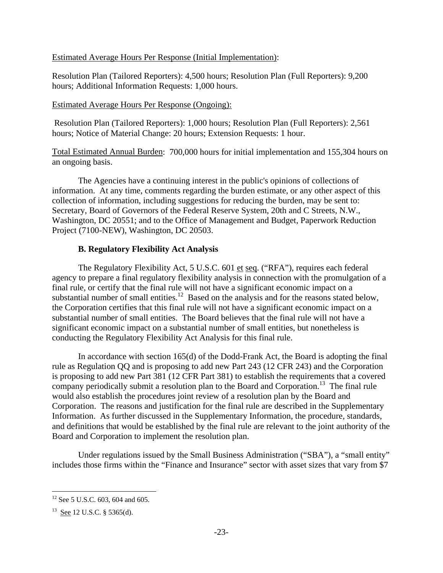Estimated Average Hours Per Response (Initial Implementation):

Resolution Plan (Tailored Reporters): 4,500 hours; Resolution Plan (Full Reporters): 9,200 hours; Additional Information Requests: 1,000 hours.

### Estimated Average Hours Per Response (Ongoing):

Resolution Plan (Tailored Reporters): 1,000 hours; Resolution Plan (Full Reporters): 2,561 hours; Notice of Material Change: 20 hours; Extension Requests: 1 hour.

Total Estimated Annual Burden: 700,000 hours for initial implementation and 155,304 hours on an ongoing basis.

The Agencies have a continuing interest in the public's opinions of collections of information. At any time, comments regarding the burden estimate, or any other aspect of this collection of information, including suggestions for reducing the burden, may be sent to: Secretary, Board of Governors of the Federal Reserve System, 20th and C Streets, N.W., Washington, DC 20551; and to the Office of Management and Budget, Paperwork Reduction Project (7100-NEW), Washington, DC 20503.

# **B. Regulatory Flexibility Act Analysis**

The Regulatory Flexibility Act, 5 U.S.C. 601 et seq. ("RFA"), requires each federal agency to prepare a final regulatory flexibility analysis in connection with the promulgation of a final rule, or certify that the final rule will not have a significant economic impact on a substantial number of small entities.<sup>12</sup> Based on the analysis and for the reasons stated below, the Corporation certifies that this final rule will not have a significant economic impact on a substantial number of small entities. The Board believes that the final rule will not have a significant economic impact on a substantial number of small entities, but nonetheless is conducting the Regulatory Flexibility Act Analysis for this final rule.

In accordance with section 165(d) of the Dodd-Frank Act, the Board is adopting the final rule as Regulation QQ and is proposing to add new Part 243 (12 CFR 243) and the Corporation is proposing to add new Part 381 (12 CFR Part 381) to establish the requirements that a covered company periodically submit a resolution plan to the Board and Corporation.<sup>13</sup> The final rule would also establish the procedures joint review of a resolution plan by the Board and Corporation. The reasons and justification for the final rule are described in the Supplementary Information. As further discussed in the Supplementary Information, the procedure, standards, and definitions that would be established by the final rule are relevant to the joint authority of the Board and Corporation to implement the resolution plan.

Under regulations issued by the Small Business Administration ("SBA"), a "small entity" includes those firms within the "Finance and Insurance" sector with asset sizes that vary from \$7

 $\overline{a}$ 

<sup>&</sup>lt;sup>12</sup> See 5 U.S.C. 603, 604 and 605.

<sup>&</sup>lt;sup>13</sup> See 12 U.S.C. § 5365(d).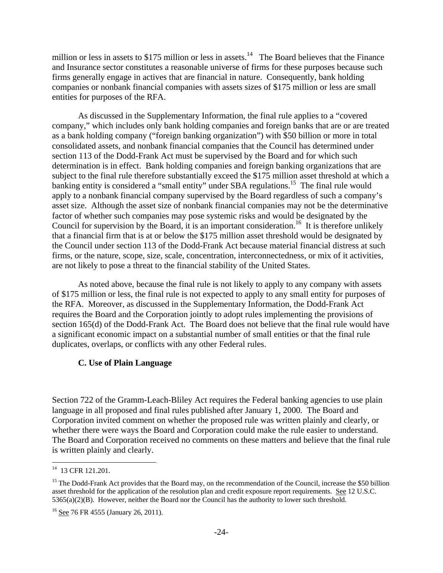million or less in assets to  $$175$  million or less in assets.<sup>14</sup> The Board believes that the Finance and Insurance sector constitutes a reasonable universe of firms for these purposes because such firms generally engage in actives that are financial in nature. Consequently, bank holding companies or nonbank financial companies with assets sizes of \$175 million or less are small entities for purposes of the RFA.

As discussed in the Supplementary Information, the final rule applies to a "covered company," which includes only bank holding companies and foreign banks that are or are treated as a bank holding company ("foreign banking organization") with \$50 billion or more in total consolidated assets, and nonbank financial companies that the Council has determined under section 113 of the Dodd-Frank Act must be supervised by the Board and for which such determination is in effect. Bank holding companies and foreign banking organizations that are subject to the final rule therefore substantially exceed the \$175 million asset threshold at which a banking entity is considered a "small entity" under SBA regulations.<sup>15</sup> The final rule would apply to a nonbank financial company supervised by the Board regardless of such a company's asset size. Although the asset size of nonbank financial companies may not be the determinative factor of whether such companies may pose systemic risks and would be designated by the Council for supervision by the Board, it is an important consideration.<sup>16</sup> It is therefore unlikely that a financial firm that is at or below the \$175 million asset threshold would be designated by the Council under section 113 of the Dodd-Frank Act because material financial distress at such firms, or the nature, scope, size, scale, concentration, interconnectedness, or mix of it activities, are not likely to pose a threat to the financial stability of the United States.

As noted above, because the final rule is not likely to apply to any company with assets of \$175 million or less, the final rule is not expected to apply to any small entity for purposes of the RFA. Moreover, as discussed in the Supplementary Information, the Dodd-Frank Act requires the Board and the Corporation jointly to adopt rules implementing the provisions of section 165(d) of the Dodd-Frank Act. The Board does not believe that the final rule would have a significant economic impact on a substantial number of small entities or that the final rule duplicates, overlaps, or conflicts with any other Federal rules.

#### **C. Use of Plain Language**

Section 722 of the Gramm-Leach-Bliley Act requires the Federal banking agencies to use plain language in all proposed and final rules published after January 1, 2000. The Board and Corporation invited comment on whether the proposed rule was written plainly and clearly, or whether there were ways the Board and Corporation could make the rule easier to understand. The Board and Corporation received no comments on these matters and believe that the final rule is written plainly and clearly.

 $\overline{a}$ 

<sup>&</sup>lt;sup>14</sup> 13 CFR 121.201.

<sup>&</sup>lt;sup>15</sup> The Dodd-Frank Act provides that the Board may, on the recommendation of the Council, increase the \$50 billion asset threshold for the application of the resolution plan and credit exposure report requirements. See 12 U.S.C. 5365(a)(2)(B). However, neither the Board nor the Council has the authority to lower such threshold.

<sup>&</sup>lt;sup>16</sup> See 76 FR 4555 (January 26, 2011).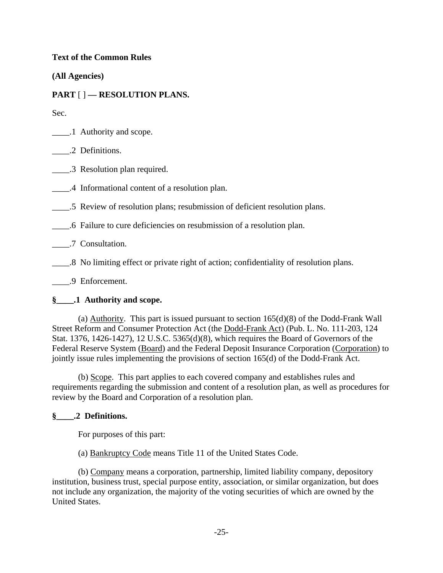## **Text of the Common Rules**

**(All Agencies)** 

# **PART** [ ] **— RESOLUTION PLANS.**

Sec.

\_\_\_\_.1 Authority and scope.

\_\_\_\_.2 Definitions.

\_\_\_\_.3 Resolution plan required.

\_\_\_\_.4 Informational content of a resolution plan.

\_\_\_\_.5 Review of resolution plans; resubmission of deficient resolution plans.

\_\_\_\_.6 Failure to cure deficiencies on resubmission of a resolution plan.

\_\_\_\_.7 Consultation.

\_\_\_\_.8 No limiting effect or private right of action; confidentiality of resolution plans.

\_\_\_\_.9 Enforcement.

## **§\_\_\_\_.1 Authority and scope.**

(a) Authority. This part is issued pursuant to section 165(d)(8) of the Dodd-Frank Wall Street Reform and Consumer Protection Act (the Dodd-Frank Act) (Pub. L. No. 111-203, 124 Stat. 1376, 1426-1427), 12 U.S.C. 5365(d)(8), which requires the Board of Governors of the Federal Reserve System (Board) and the Federal Deposit Insurance Corporation (Corporation) to jointly issue rules implementing the provisions of section 165(d) of the Dodd-Frank Act.

(b) Scope. This part applies to each covered company and establishes rules and requirements regarding the submission and content of a resolution plan, as well as procedures for review by the Board and Corporation of a resolution plan.

## **§\_\_\_\_.2 Definitions.**

For purposes of this part:

(a) Bankruptcy Code means Title 11 of the United States Code.

(b) Company means a corporation, partnership, limited liability company, depository institution, business trust, special purpose entity, association, or similar organization, but does not include any organization, the majority of the voting securities of which are owned by the United States.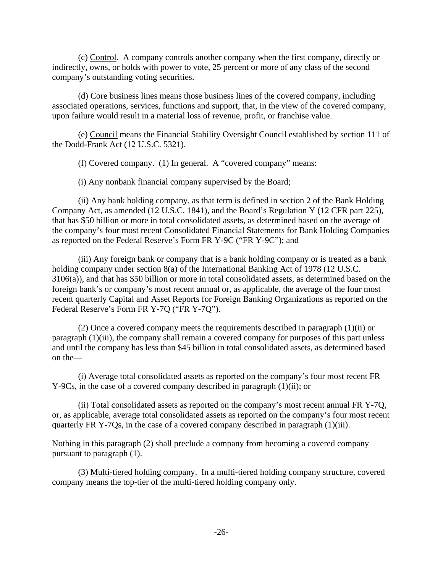(c) Control. A company controls another company when the first company, directly or indirectly, owns, or holds with power to vote, 25 percent or more of any class of the second company's outstanding voting securities.

(d) Core business lines means those business lines of the covered company, including associated operations, services, functions and support, that, in the view of the covered company, upon failure would result in a material loss of revenue, profit, or franchise value.

(e) Council means the Financial Stability Oversight Council established by section 111 of the Dodd-Frank Act (12 U.S.C. 5321).

(f) Covered company. (1) In general. A "covered company" means:

(i) Any nonbank financial company supervised by the Board;

(ii) Any bank holding company, as that term is defined in section 2 of the Bank Holding Company Act, as amended (12 U.S.C. 1841), and the Board's Regulation Y (12 CFR part 225), that has \$50 billion or more in total consolidated assets, as determined based on the average of the company's four most recent Consolidated Financial Statements for Bank Holding Companies as reported on the Federal Reserve's Form FR Y-9C ("FR Y-9C"); and

(iii) Any foreign bank or company that is a bank holding company or is treated as a bank holding company under section 8(a) of the International Banking Act of 1978 (12 U.S.C. 3106(a)), and that has \$50 billion or more in total consolidated assets, as determined based on the foreign bank's or company's most recent annual or, as applicable, the average of the four most recent quarterly Capital and Asset Reports for Foreign Banking Organizations as reported on the Federal Reserve's Form FR Y-7Q ("FR Y-7Q").

(2) Once a covered company meets the requirements described in paragraph  $(1)(ii)$  or paragraph (1)(iii), the company shall remain a covered company for purposes of this part unless and until the company has less than \$45 billion in total consolidated assets, as determined based on the—

(i) Average total consolidated assets as reported on the company's four most recent FR Y-9Cs, in the case of a covered company described in paragraph (1)(ii); or

(ii) Total consolidated assets as reported on the company's most recent annual FR Y-7Q, or, as applicable, average total consolidated assets as reported on the company's four most recent quarterly FR Y-7Qs, in the case of a covered company described in paragraph (1)(iii).

Nothing in this paragraph (2) shall preclude a company from becoming a covered company pursuant to paragraph (1).

(3) Multi-tiered holding company. In a multi-tiered holding company structure, covered company means the top-tier of the multi-tiered holding company only.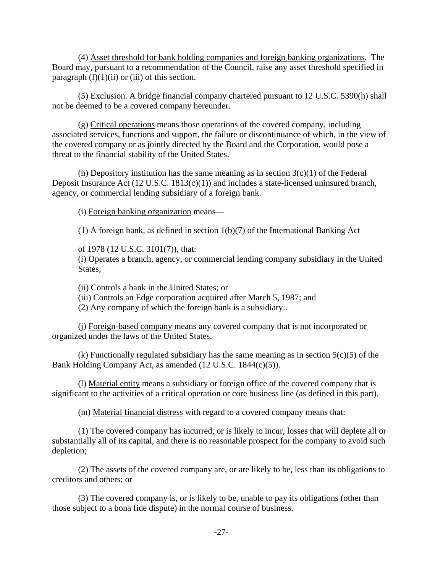(4) Asset threshold for bank holding companies and foreign banking organizations*.* The Board may, pursuant to a recommendation of the Council, raise any asset threshold specified in paragraph  $(f)(1)(ii)$  or (iii) of this section.

(5) Exclusion. A bridge financial company chartered pursuant to 12 U.S.C. 5390(h) shall not be deemed to be a covered company hereunder.

(g) Critical operations means those operations of the covered company, including associated services, functions and support, the failure or discontinuance of which, in the view of the covered company or as jointly directed by the Board and the Corporation, would pose a threat to the financial stability of the United States.

(h) Depository institution has the same meaning as in section  $3(c)(1)$  of the Federal Deposit Insurance Act (12 U.S.C. 1813(c)(1)) and includes a state-licensed uninsured branch, agency, or commercial lending subsidiary of a foreign bank.

(i) Foreign banking organization means—

(1) A foreign bank, as defined in section 1(b)(7) of the International Banking Act

of 1978 (12 U.S.C. 3101(7)), that:

(i) Operates a branch, agency, or commercial lending company subsidiary in the United States:

(ii) Controls a bank in the United States; or

(iii) Controls an Edge corporation acquired after March 5, 1987; and

(2) Any company of which the foreign bank is a subsidiary..

(j) Foreign-based company means any covered company that is not incorporated or organized under the laws of the United States.

(k) Functionally regulated subsidiary has the same meaning as in section  $5(c)(5)$  of the Bank Holding Company Act, as amended (12 U.S.C. 1844(c)(5)).

(l) Material entity means a subsidiary or foreign office of the covered company that is significant to the activities of a critical operation or core business line (as defined in this part).

(m) Material financial distress with regard to a covered company means that:

(1) The covered company has incurred, or is likely to incur, losses that will deplete all or substantially all of its capital, and there is no reasonable prospect for the company to avoid such depletion;

(2) The assets of the covered company are, or are likely to be, less than its obligations to creditors and others; or

(3) The covered company is, or is likely to be, unable to pay its obligations (other than those subject to a bona fide dispute) in the normal course of business.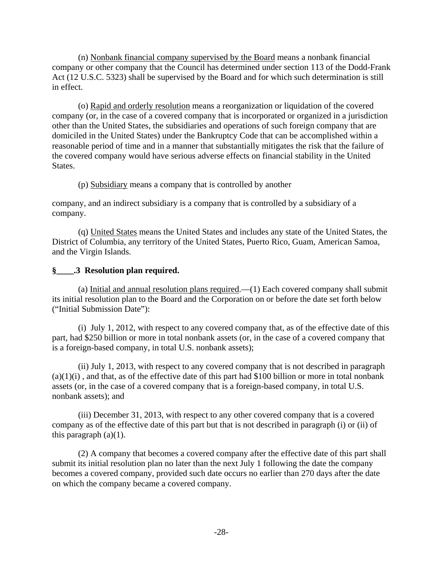(n) Nonbank financial company supervised by the Board means a nonbank financial company or other company that the Council has determined under section 113 of the Dodd-Frank Act (12 U.S.C. 5323) shall be supervised by the Board and for which such determination is still in effect.

(o) Rapid and orderly resolution means a reorganization or liquidation of the covered company (or, in the case of a covered company that is incorporated or organized in a jurisdiction other than the United States, the subsidiaries and operations of such foreign company that are domiciled in the United States) under the Bankruptcy Code that can be accomplished within a reasonable period of time and in a manner that substantially mitigates the risk that the failure of the covered company would have serious adverse effects on financial stability in the United States.

(p) Subsidiary means a company that is controlled by another

company, and an indirect subsidiary is a company that is controlled by a subsidiary of a company.

(q) United States means the United States and includes any state of the United States, the District of Columbia, any territory of the United States, Puerto Rico, Guam, American Samoa, and the Virgin Islands.

## **§\_\_\_\_.3 Resolution plan required.**

(a) Initial and annual resolution plans required.— $(1)$  Each covered company shall submit its initial resolution plan to the Board and the Corporation on or before the date set forth below ("Initial Submission Date"):

(i) July 1, 2012, with respect to any covered company that, as of the effective date of this part, had \$250 billion or more in total nonbank assets (or, in the case of a covered company that is a foreign-based company, in total U.S. nonbank assets);

(ii) July 1, 2013, with respect to any covered company that is not described in paragraph  $(a)(1)(i)$ , and that, as of the effective date of this part had \$100 billion or more in total nonbank assets (or, in the case of a covered company that is a foreign-based company, in total U.S. nonbank assets); and

(iii) December 31, 2013, with respect to any other covered company that is a covered company as of the effective date of this part but that is not described in paragraph (i) or (ii) of this paragraph  $(a)(1)$ .

(2) A company that becomes a covered company after the effective date of this part shall submit its initial resolution plan no later than the next July 1 following the date the company becomes a covered company, provided such date occurs no earlier than 270 days after the date on which the company became a covered company.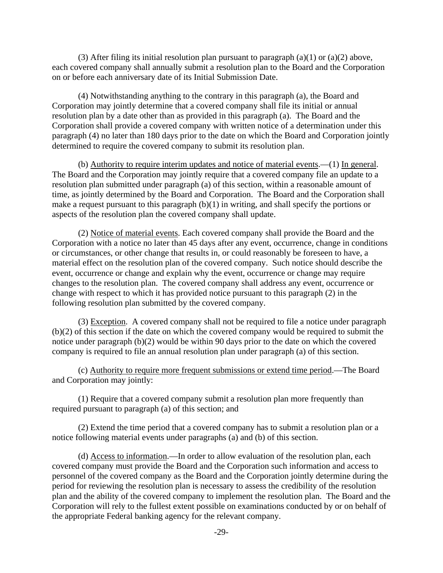(3) After filing its initial resolution plan pursuant to paragraph (a)(1) or (a)(2) above, each covered company shall annually submit a resolution plan to the Board and the Corporation on or before each anniversary date of its Initial Submission Date.

(4) Notwithstanding anything to the contrary in this paragraph (a), the Board and Corporation may jointly determine that a covered company shall file its initial or annual resolution plan by a date other than as provided in this paragraph (a). The Board and the Corporation shall provide a covered company with written notice of a determination under this paragraph (4) no later than 180 days prior to the date on which the Board and Corporation jointly determined to require the covered company to submit its resolution plan.

(b) Authority to require interim updates and notice of material events.—(1) In general. The Board and the Corporation may jointly require that a covered company file an update to a resolution plan submitted under paragraph (a) of this section, within a reasonable amount of time, as jointly determined by the Board and Corporation. The Board and the Corporation shall make a request pursuant to this paragraph  $(b)(1)$  in writing, and shall specify the portions or aspects of the resolution plan the covered company shall update.

(2) Notice of material events. Each covered company shall provide the Board and the Corporation with a notice no later than 45 days after any event, occurrence, change in conditions or circumstances, or other change that results in, or could reasonably be foreseen to have, a material effect on the resolution plan of the covered company. Such notice should describe the event, occurrence or change and explain why the event, occurrence or change may require changes to the resolution plan. The covered company shall address any event, occurrence or change with respect to which it has provided notice pursuant to this paragraph (2) in the following resolution plan submitted by the covered company.

(3) Exception. A covered company shall not be required to file a notice under paragraph (b)(2) of this section if the date on which the covered company would be required to submit the notice under paragraph (b)(2) would be within 90 days prior to the date on which the covered company is required to file an annual resolution plan under paragraph (a) of this section.

(c) Authority to require more frequent submissions or extend time period.—The Board and Corporation may jointly:

(1) Require that a covered company submit a resolution plan more frequently than required pursuant to paragraph (a) of this section; and

(2) Extend the time period that a covered company has to submit a resolution plan or a notice following material events under paragraphs (a) and (b) of this section.

(d) Access to information.—In order to allow evaluation of the resolution plan, each covered company must provide the Board and the Corporation such information and access to personnel of the covered company as the Board and the Corporation jointly determine during the period for reviewing the resolution plan is necessary to assess the credibility of the resolution plan and the ability of the covered company to implement the resolution plan. The Board and the Corporation will rely to the fullest extent possible on examinations conducted by or on behalf of the appropriate Federal banking agency for the relevant company.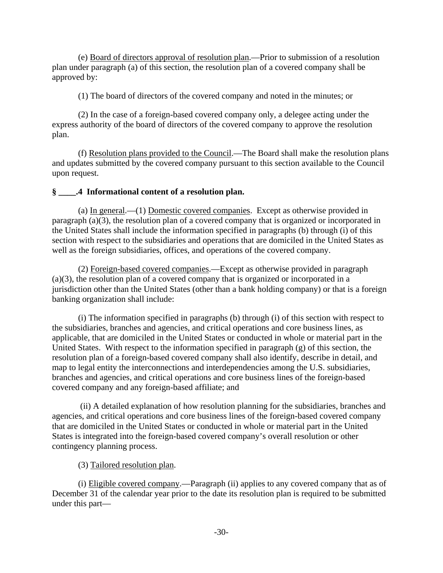(e) Board of directors approval of resolution plan.—Prior to submission of a resolution plan under paragraph (a) of this section, the resolution plan of a covered company shall be approved by:

(1) The board of directors of the covered company and noted in the minutes; or

(2) In the case of a foreign-based covered company only, a delegee acting under the express authority of the board of directors of the covered company to approve the resolution plan.

(f) Resolution plans provided to the Council.—The Board shall make the resolution plans and updates submitted by the covered company pursuant to this section available to the Council upon request.

## **§ \_\_\_\_.4 Informational content of a resolution plan.**

(a) In general.—(1) Domestic covered companies. Except as otherwise provided in paragraph (a)(3), the resolution plan of a covered company that is organized or incorporated in the United States shall include the information specified in paragraphs (b) through (i) of this section with respect to the subsidiaries and operations that are domiciled in the United States as well as the foreign subsidiaries, offices, and operations of the covered company.

(2) Foreign-based covered companies.—Except as otherwise provided in paragraph (a)(3), the resolution plan of a covered company that is organized or incorporated in a jurisdiction other than the United States (other than a bank holding company) or that is a foreign banking organization shall include:

(i) The information specified in paragraphs (b) through (i) of this section with respect to the subsidiaries, branches and agencies, and critical operations and core business lines, as applicable, that are domiciled in the United States or conducted in whole or material part in the United States. With respect to the information specified in paragraph (g) of this section, the resolution plan of a foreign-based covered company shall also identify, describe in detail, and map to legal entity the interconnections and interdependencies among the U.S. subsidiaries, branches and agencies, and critical operations and core business lines of the foreign-based covered company and any foreign-based affiliate; and

 (ii) A detailed explanation of how resolution planning for the subsidiaries, branches and agencies, and critical operations and core business lines of the foreign-based covered company that are domiciled in the United States or conducted in whole or material part in the United States is integrated into the foreign-based covered company's overall resolution or other contingency planning process.

(3) Tailored resolution plan.

(i) Eligible covered company.—Paragraph (ii) applies to any covered company that as of December 31 of the calendar year prior to the date its resolution plan is required to be submitted under this part—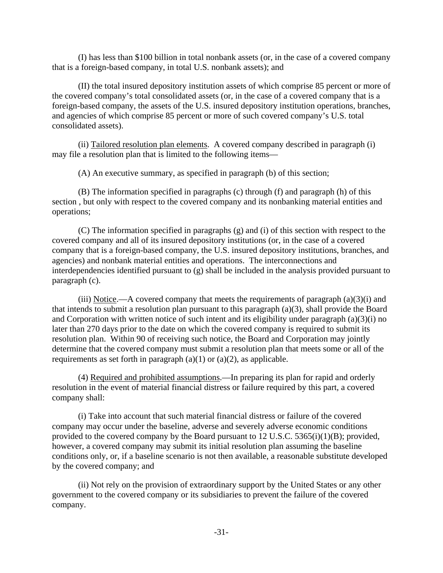(I) has less than \$100 billion in total nonbank assets (or, in the case of a covered company that is a foreign-based company, in total U.S. nonbank assets); and

(II) the total insured depository institution assets of which comprise 85 percent or more of the covered company's total consolidated assets (or, in the case of a covered company that is a foreign-based company, the assets of the U.S. insured depository institution operations, branches, and agencies of which comprise 85 percent or more of such covered company's U.S. total consolidated assets).

(ii) Tailored resolution plan elements. A covered company described in paragraph (i) may file a resolution plan that is limited to the following items—

(A) An executive summary, as specified in paragraph (b) of this section;

(B) The information specified in paragraphs (c) through (f) and paragraph (h) of this section , but only with respect to the covered company and its nonbanking material entities and operations;

(C) The information specified in paragraphs (g) and (i) of this section with respect to the covered company and all of its insured depository institutions (or, in the case of a covered company that is a foreign-based company, the U.S. insured depository institutions, branches, and agencies) and nonbank material entities and operations. The interconnections and interdependencies identified pursuant to (g) shall be included in the analysis provided pursuant to paragraph (c).

(iii) Notice.—A covered company that meets the requirements of paragraph  $(a)(3)(i)$  and that intends to submit a resolution plan pursuant to this paragraph (a)(3), shall provide the Board and Corporation with written notice of such intent and its eligibility under paragraph (a)(3)(i) no later than 270 days prior to the date on which the covered company is required to submit its resolution plan. Within 90 of receiving such notice, the Board and Corporation may jointly determine that the covered company must submit a resolution plan that meets some or all of the requirements as set forth in paragraph  $(a)(1)$  or  $(a)(2)$ , as applicable.

(4) Required and prohibited assumptions.—In preparing its plan for rapid and orderly resolution in the event of material financial distress or failure required by this part, a covered company shall:

(i) Take into account that such material financial distress or failure of the covered company may occur under the baseline, adverse and severely adverse economic conditions provided to the covered company by the Board pursuant to 12 U.S.C. 5365(i)(1)(B); provided, however, a covered company may submit its initial resolution plan assuming the baseline conditions only, or, if a baseline scenario is not then available, a reasonable substitute developed by the covered company; and

(ii) Not rely on the provision of extraordinary support by the United States or any other government to the covered company or its subsidiaries to prevent the failure of the covered company.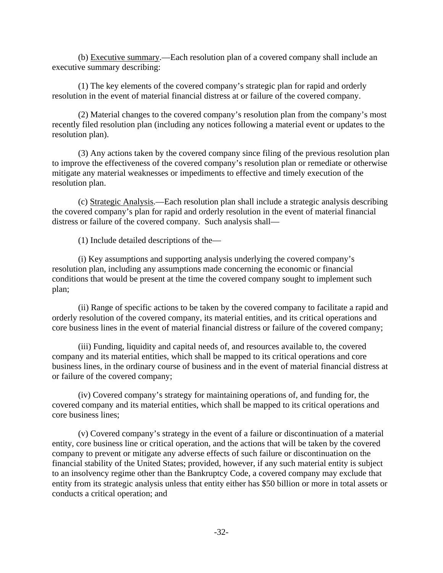(b) Executive summary.—Each resolution plan of a covered company shall include an executive summary describing:

(1) The key elements of the covered company's strategic plan for rapid and orderly resolution in the event of material financial distress at or failure of the covered company.

(2) Material changes to the covered company's resolution plan from the company's most recently filed resolution plan (including any notices following a material event or updates to the resolution plan).

(3) Any actions taken by the covered company since filing of the previous resolution plan to improve the effectiveness of the covered company's resolution plan or remediate or otherwise mitigate any material weaknesses or impediments to effective and timely execution of the resolution plan.

(c) Strategic Analysis.—Each resolution plan shall include a strategic analysis describing the covered company's plan for rapid and orderly resolution in the event of material financial distress or failure of the covered company. Such analysis shall—

(1) Include detailed descriptions of the—

(i) Key assumptions and supporting analysis underlying the covered company's resolution plan, including any assumptions made concerning the economic or financial conditions that would be present at the time the covered company sought to implement such plan;

(ii) Range of specific actions to be taken by the covered company to facilitate a rapid and orderly resolution of the covered company, its material entities, and its critical operations and core business lines in the event of material financial distress or failure of the covered company;

(iii) Funding, liquidity and capital needs of, and resources available to, the covered company and its material entities, which shall be mapped to its critical operations and core business lines, in the ordinary course of business and in the event of material financial distress at or failure of the covered company;

(iv) Covered company's strategy for maintaining operations of, and funding for, the covered company and its material entities, which shall be mapped to its critical operations and core business lines;

(v) Covered company's strategy in the event of a failure or discontinuation of a material entity, core business line or critical operation, and the actions that will be taken by the covered company to prevent or mitigate any adverse effects of such failure or discontinuation on the financial stability of the United States; provided, however, if any such material entity is subject to an insolvency regime other than the Bankruptcy Code, a covered company may exclude that entity from its strategic analysis unless that entity either has \$50 billion or more in total assets or conducts a critical operation; and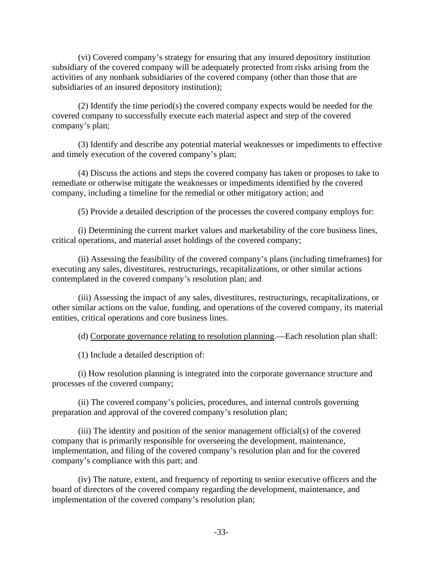(vi) Covered company's strategy for ensuring that any insured depository institution subsidiary of the covered company will be adequately protected from risks arising from the activities of any nonbank subsidiaries of the covered company (other than those that are subsidiaries of an insured depository institution);

(2) Identify the time period(s) the covered company expects would be needed for the covered company to successfully execute each material aspect and step of the covered company's plan;

(3) Identify and describe any potential material weaknesses or impediments to effective and timely execution of the covered company's plan;

(4) Discuss the actions and steps the covered company has taken or proposes to take to remediate or otherwise mitigate the weaknesses or impediments identified by the covered company, including a timeline for the remedial or other mitigatory action; and

(5) Provide a detailed description of the processes the covered company employs for:

(i) Determining the current market values and marketability of the core business lines, critical operations, and material asset holdings of the covered company;

(ii) Assessing the feasibility of the covered company's plans (including timeframes) for executing any sales, divestitures, restructurings, recapitalizations, or other similar actions contemplated in the covered company's resolution plan; and

(iii) Assessing the impact of any sales, divestitures, restructurings, recapitalizations, or other similar actions on the value, funding, and operations of the covered company, its material entities, critical operations and core business lines.

(d) Corporate governance relating to resolution planning.—Each resolution plan shall:

(1) Include a detailed description of:

(i) How resolution planning is integrated into the corporate governance structure and processes of the covered company;

(ii) The covered company's policies, procedures, and internal controls governing preparation and approval of the covered company's resolution plan;

(iii) The identity and position of the senior management official(s) of the covered company that is primarily responsible for overseeing the development, maintenance, implementation, and filing of the covered company's resolution plan and for the covered company's compliance with this part; and

(iv) The nature, extent, and frequency of reporting to senior executive officers and the board of directors of the covered company regarding the development, maintenance, and implementation of the covered company's resolution plan;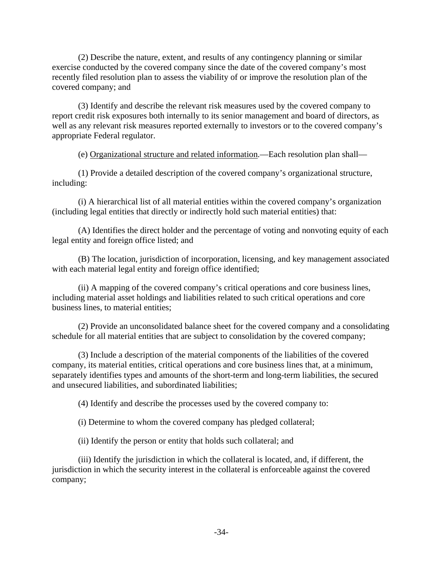(2) Describe the nature, extent, and results of any contingency planning or similar exercise conducted by the covered company since the date of the covered company's most recently filed resolution plan to assess the viability of or improve the resolution plan of the covered company; and

(3) Identify and describe the relevant risk measures used by the covered company to report credit risk exposures both internally to its senior management and board of directors, as well as any relevant risk measures reported externally to investors or to the covered company's appropriate Federal regulator.

(e) Organizational structure and related information.—Each resolution plan shall—

(1) Provide a detailed description of the covered company's organizational structure, including:

(i) A hierarchical list of all material entities within the covered company's organization (including legal entities that directly or indirectly hold such material entities) that:

(A) Identifies the direct holder and the percentage of voting and nonvoting equity of each legal entity and foreign office listed; and

(B) The location, jurisdiction of incorporation, licensing, and key management associated with each material legal entity and foreign office identified;

(ii) A mapping of the covered company's critical operations and core business lines, including material asset holdings and liabilities related to such critical operations and core business lines, to material entities;

(2) Provide an unconsolidated balance sheet for the covered company and a consolidating schedule for all material entities that are subject to consolidation by the covered company;

(3) Include a description of the material components of the liabilities of the covered company, its material entities, critical operations and core business lines that, at a minimum, separately identifies types and amounts of the short-term and long-term liabilities, the secured and unsecured liabilities, and subordinated liabilities;

(4) Identify and describe the processes used by the covered company to:

(i) Determine to whom the covered company has pledged collateral;

(ii) Identify the person or entity that holds such collateral; and

(iii) Identify the jurisdiction in which the collateral is located, and, if different, the jurisdiction in which the security interest in the collateral is enforceable against the covered company;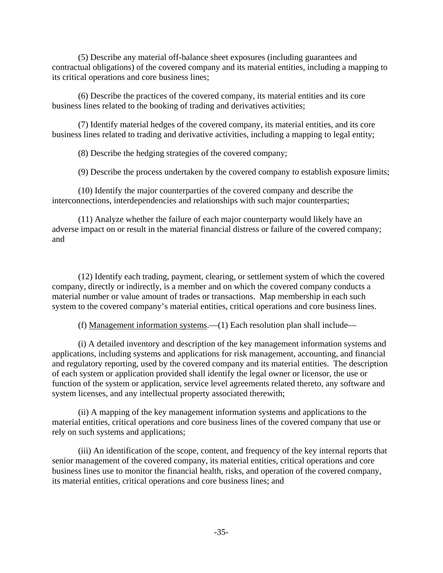(5) Describe any material off-balance sheet exposures (including guarantees and contractual obligations) of the covered company and its material entities, including a mapping to its critical operations and core business lines;

(6) Describe the practices of the covered company, its material entities and its core business lines related to the booking of trading and derivatives activities;

(7) Identify material hedges of the covered company, its material entities, and its core business lines related to trading and derivative activities, including a mapping to legal entity;

(8) Describe the hedging strategies of the covered company;

(9) Describe the process undertaken by the covered company to establish exposure limits;

(10) Identify the major counterparties of the covered company and describe the interconnections, interdependencies and relationships with such major counterparties;

(11) Analyze whether the failure of each major counterparty would likely have an adverse impact on or result in the material financial distress or failure of the covered company; and

(12) Identify each trading, payment, clearing, or settlement system of which the covered company, directly or indirectly, is a member and on which the covered company conducts a material number or value amount of trades or transactions. Map membership in each such system to the covered company's material entities, critical operations and core business lines.

(f) Management information systems.—(1) Each resolution plan shall include—

(i) A detailed inventory and description of the key management information systems and applications, including systems and applications for risk management, accounting, and financial and regulatory reporting, used by the covered company and its material entities. The description of each system or application provided shall identify the legal owner or licensor, the use or function of the system or application, service level agreements related thereto, any software and system licenses, and any intellectual property associated therewith;

(ii) A mapping of the key management information systems and applications to the material entities, critical operations and core business lines of the covered company that use or rely on such systems and applications;

(iii) An identification of the scope, content, and frequency of the key internal reports that senior management of the covered company, its material entities, critical operations and core business lines use to monitor the financial health, risks, and operation of the covered company, its material entities, critical operations and core business lines; and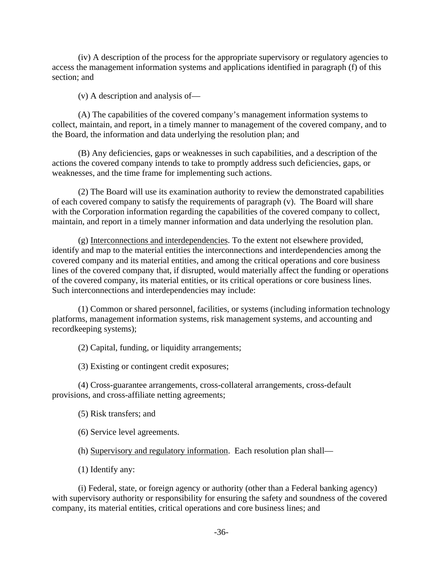(iv) A description of the process for the appropriate supervisory or regulatory agencies to access the management information systems and applications identified in paragraph (f) of this section; and

(v) A description and analysis of—

(A) The capabilities of the covered company's management information systems to collect, maintain, and report, in a timely manner to management of the covered company, and to the Board, the information and data underlying the resolution plan; and

(B) Any deficiencies, gaps or weaknesses in such capabilities, and a description of the actions the covered company intends to take to promptly address such deficiencies, gaps, or weaknesses, and the time frame for implementing such actions.

(2) The Board will use its examination authority to review the demonstrated capabilities of each covered company to satisfy the requirements of paragraph (v). The Board will share with the Corporation information regarding the capabilities of the covered company to collect, maintain, and report in a timely manner information and data underlying the resolution plan.

(g) Interconnections and interdependencies. To the extent not elsewhere provided, identify and map to the material entities the interconnections and interdependencies among the covered company and its material entities, and among the critical operations and core business lines of the covered company that, if disrupted, would materially affect the funding or operations of the covered company, its material entities, or its critical operations or core business lines. Such interconnections and interdependencies may include:

(1) Common or shared personnel, facilities, or systems (including information technology platforms, management information systems, risk management systems, and accounting and recordkeeping systems);

(2) Capital, funding, or liquidity arrangements;

(3) Existing or contingent credit exposures;

(4) Cross-guarantee arrangements, cross-collateral arrangements, cross-default provisions, and cross-affiliate netting agreements;

(5) Risk transfers; and

(6) Service level agreements.

(h) Supervisory and regulatory information. Each resolution plan shall—

(1) Identify any:

(i) Federal, state, or foreign agency or authority (other than a Federal banking agency) with supervisory authority or responsibility for ensuring the safety and soundness of the covered company, its material entities, critical operations and core business lines; and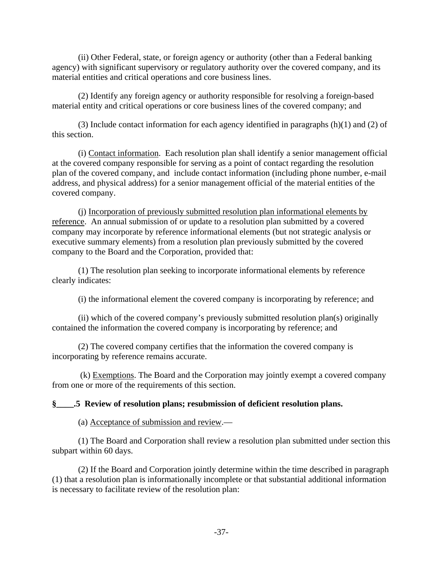(ii) Other Federal, state, or foreign agency or authority (other than a Federal banking agency) with significant supervisory or regulatory authority over the covered company, and its material entities and critical operations and core business lines.

(2) Identify any foreign agency or authority responsible for resolving a foreign-based material entity and critical operations or core business lines of the covered company; and

(3) Include contact information for each agency identified in paragraphs (h)(1) and (2) of this section.

(i) Contact information. Each resolution plan shall identify a senior management official at the covered company responsible for serving as a point of contact regarding the resolution plan of the covered company, and include contact information (including phone number, e-mail address, and physical address) for a senior management official of the material entities of the covered company.

(j) Incorporation of previously submitted resolution plan informational elements by reference. An annual submission of or update to a resolution plan submitted by a covered company may incorporate by reference informational elements (but not strategic analysis or executive summary elements) from a resolution plan previously submitted by the covered company to the Board and the Corporation, provided that:

(1) The resolution plan seeking to incorporate informational elements by reference clearly indicates:

(i) the informational element the covered company is incorporating by reference; and

(ii) which of the covered company's previously submitted resolution plan(s) originally contained the information the covered company is incorporating by reference; and

(2) The covered company certifies that the information the covered company is incorporating by reference remains accurate.

 (k) Exemptions. The Board and the Corporation may jointly exempt a covered company from one or more of the requirements of this section.

#### **§\_\_\_\_.5 Review of resolution plans; resubmission of deficient resolution plans.**

(a) Acceptance of submission and review.—

(1) The Board and Corporation shall review a resolution plan submitted under section this subpart within 60 days.

(2) If the Board and Corporation jointly determine within the time described in paragraph (1) that a resolution plan is informationally incomplete or that substantial additional information is necessary to facilitate review of the resolution plan: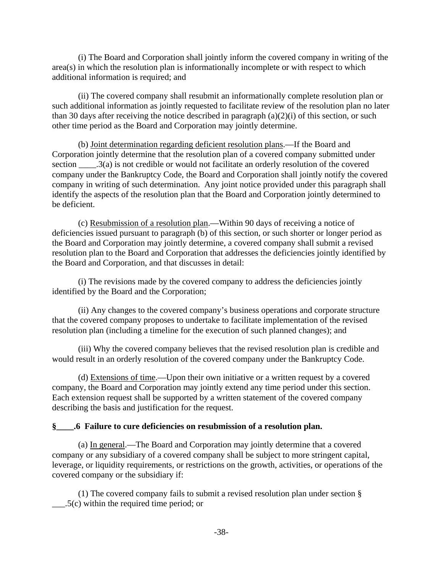(i) The Board and Corporation shall jointly inform the covered company in writing of the area(s) in which the resolution plan is informationally incomplete or with respect to which additional information is required; and

(ii) The covered company shall resubmit an informationally complete resolution plan or such additional information as jointly requested to facilitate review of the resolution plan no later than 30 days after receiving the notice described in paragraph  $(a)(2)(i)$  of this section, or such other time period as the Board and Corporation may jointly determine.

(b) Joint determination regarding deficient resolution plans.—If the Board and Corporation jointly determine that the resolution plan of a covered company submitted under section \_\_\_\_\_.3(a) is not credible or would not facilitate an orderly resolution of the covered company under the Bankruptcy Code, the Board and Corporation shall jointly notify the covered company in writing of such determination. Any joint notice provided under this paragraph shall identify the aspects of the resolution plan that the Board and Corporation jointly determined to be deficient.

(c) Resubmission of a resolution plan.—Within 90 days of receiving a notice of deficiencies issued pursuant to paragraph (b) of this section, or such shorter or longer period as the Board and Corporation may jointly determine, a covered company shall submit a revised resolution plan to the Board and Corporation that addresses the deficiencies jointly identified by the Board and Corporation, and that discusses in detail:

(i) The revisions made by the covered company to address the deficiencies jointly identified by the Board and the Corporation;

(ii) Any changes to the covered company's business operations and corporate structure that the covered company proposes to undertake to facilitate implementation of the revised resolution plan (including a timeline for the execution of such planned changes); and

(iii) Why the covered company believes that the revised resolution plan is credible and would result in an orderly resolution of the covered company under the Bankruptcy Code.

(d) Extensions of time.—Upon their own initiative or a written request by a covered company, the Board and Corporation may jointly extend any time period under this section. Each extension request shall be supported by a written statement of the covered company describing the basis and justification for the request.

#### **§\_\_\_\_.6 Failure to cure deficiencies on resubmission of a resolution plan.**

(a) In general.—The Board and Corporation may jointly determine that a covered company or any subsidiary of a covered company shall be subject to more stringent capital, leverage, or liquidity requirements, or restrictions on the growth, activities, or operations of the covered company or the subsidiary if:

(1) The covered company fails to submit a revised resolution plan under section § \_\_\_.5(c) within the required time period; or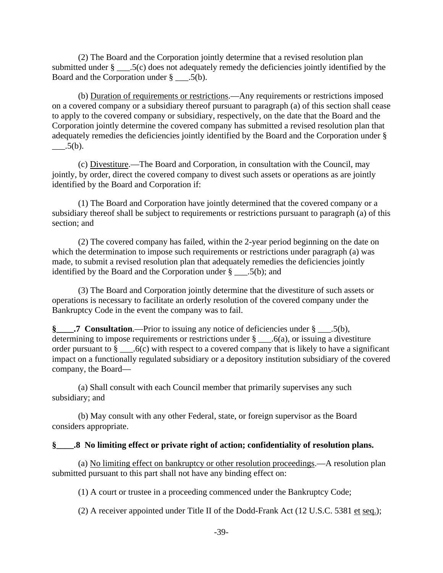(2) The Board and the Corporation jointly determine that a revised resolution plan submitted under § \_\_\_.5(c) does not adequately remedy the deficiencies jointly identified by the Board and the Corporation under § \_\_\_.5(b).

 (b) Duration of requirements or restrictions.—Any requirements or restrictions imposed on a covered company or a subsidiary thereof pursuant to paragraph (a) of this section shall cease to apply to the covered company or subsidiary, respectively, on the date that the Board and the Corporation jointly determine the covered company has submitted a revised resolution plan that adequately remedies the deficiencies jointly identified by the Board and the Corporation under §  $.5(b).$ 

 (c) Divestiture.—The Board and Corporation, in consultation with the Council, may jointly, by order, direct the covered company to divest such assets or operations as are jointly identified by the Board and Corporation if:

(1) The Board and Corporation have jointly determined that the covered company or a subsidiary thereof shall be subject to requirements or restrictions pursuant to paragraph (a) of this section; and

(2) The covered company has failed, within the 2-year period beginning on the date on which the determination to impose such requirements or restrictions under paragraph (a) was made, to submit a revised resolution plan that adequately remedies the deficiencies jointly identified by the Board and the Corporation under  $\S$  . 5(b); and

(3) The Board and Corporation jointly determine that the divestiture of such assets or operations is necessary to facilitate an orderly resolution of the covered company under the Bankruptcy Code in the event the company was to fail.

**§\_\_\_\_.7 Consultation**.—Prior to issuing any notice of deficiencies under § \_\_\_.5(b), determining to impose requirements or restrictions under  $\S$  .  $6(a)$ , or issuing a divestiture order pursuant to  $\S$  \_\_\_\_.6(c) with respect to a covered company that is likely to have a significant impact on a functionally regulated subsidiary or a depository institution subsidiary of the covered company, the Board—

(a) Shall consult with each Council member that primarily supervises any such subsidiary; and

 (b) May consult with any other Federal, state, or foreign supervisor as the Board considers appropriate.

#### **§\_\_\_\_.8 No limiting effect or private right of action; confidentiality of resolution plans.**

(a) No limiting effect on bankruptcy or other resolution proceedings.—A resolution plan submitted pursuant to this part shall not have any binding effect on:

(1) A court or trustee in a proceeding commenced under the Bankruptcy Code;

(2) A receiver appointed under Title II of the Dodd-Frank Act (12 U.S.C. 5381 et seq.);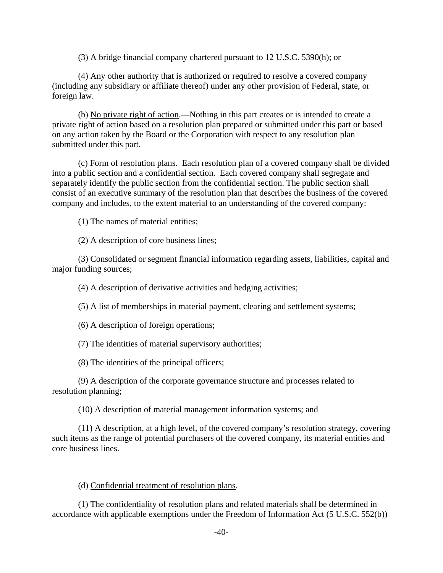(3) A bridge financial company chartered pursuant to 12 U.S.C. 5390(h); or

(4) Any other authority that is authorized or required to resolve a covered company (including any subsidiary or affiliate thereof) under any other provision of Federal, state, or foreign law.

(b) No private right of action.—Nothing in this part creates or is intended to create a private right of action based on a resolution plan prepared or submitted under this part or based on any action taken by the Board or the Corporation with respect to any resolution plan submitted under this part.

(c) Form of resolution plans. Each resolution plan of a covered company shall be divided into a public section and a confidential section. Each covered company shall segregate and separately identify the public section from the confidential section. The public section shall consist of an executive summary of the resolution plan that describes the business of the covered company and includes, to the extent material to an understanding of the covered company:

(1) The names of material entities;

(2) A description of core business lines;

(3) Consolidated or segment financial information regarding assets, liabilities, capital and major funding sources;

(4) A description of derivative activities and hedging activities;

(5) A list of memberships in material payment, clearing and settlement systems;

(6) A description of foreign operations;

(7) The identities of material supervisory authorities;

(8) The identities of the principal officers;

(9) A description of the corporate governance structure and processes related to resolution planning;

(10) A description of material management information systems; and

(11) A description, at a high level, of the covered company's resolution strategy, covering such items as the range of potential purchasers of the covered company, its material entities and core business lines.

#### (d) Confidential treatment of resolution plans.

(1) The confidentiality of resolution plans and related materials shall be determined in accordance with applicable exemptions under the Freedom of Information Act (5 U.S.C. 552(b))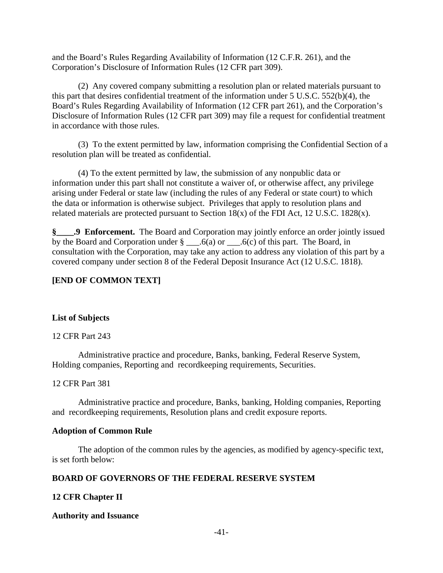and the Board's Rules Regarding Availability of Information (12 C.F.R. 261), and the Corporation's Disclosure of Information Rules (12 CFR part 309).

(2) Any covered company submitting a resolution plan or related materials pursuant to this part that desires confidential treatment of the information under 5 U.S.C. 552(b)(4), the Board's Rules Regarding Availability of Information (12 CFR part 261), and the Corporation's Disclosure of Information Rules (12 CFR part 309) may file a request for confidential treatment in accordance with those rules.

(3) To the extent permitted by law, information comprising the Confidential Section of a resolution plan will be treated as confidential.

(4) To the extent permitted by law, the submission of any nonpublic data or information under this part shall not constitute a waiver of, or otherwise affect, any privilege arising under Federal or state law (including the rules of any Federal or state court) to which the data or information is otherwise subject. Privileges that apply to resolution plans and related materials are protected pursuant to Section  $18(x)$  of the FDI Act, 12 U.S.C. 1828 $(x)$ .

**§\_\_\_\_.9 Enforcement.** The Board and Corporation may jointly enforce an order jointly issued by the Board and Corporation under  $\S$  \_\_\_\_.6(a) or \_\_\_\_.6(c) of this part. The Board, in consultation with the Corporation, may take any action to address any violation of this part by a covered company under section 8 of the Federal Deposit Insurance Act (12 U.S.C. 1818).

## **[END OF COMMON TEXT]**

#### **List of Subjects**

12 CFR Part 243

Administrative practice and procedure, Banks, banking, Federal Reserve System, Holding companies, Reporting and recordkeeping requirements, Securities.

#### 12 CFR Part 381

 Administrative practice and procedure, Banks, banking, Holding companies, Reporting and recordkeeping requirements, Resolution plans and credit exposure reports.

#### **Adoption of Common Rule**

The adoption of the common rules by the agencies, as modified by agency-specific text, is set forth below:

## **BOARD OF GOVERNORS OF THE FEDERAL RESERVE SYSTEM**

## **12 CFR Chapter II**

#### **Authority and Issuance**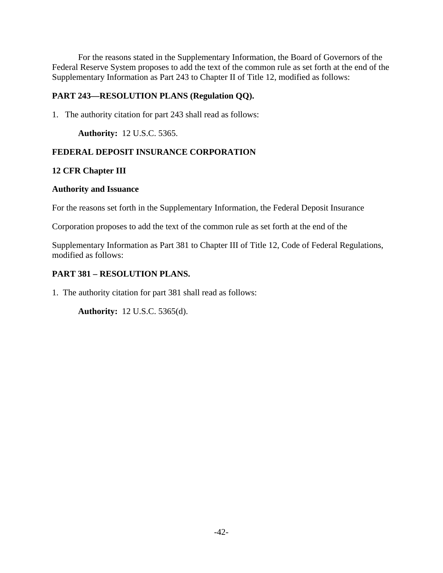For the reasons stated in the Supplementary Information, the Board of Governors of the Federal Reserve System proposes to add the text of the common rule as set forth at the end of the Supplementary Information as Part 243 to Chapter II of Title 12, modified as follows:

## **PART 243—RESOLUTION PLANS (Regulation QQ).**

1. The authority citation for part 243 shall read as follows:

**Authority:** 12 U.S.C. 5365.

## **FEDERAL DEPOSIT INSURANCE CORPORATION**

## **12 CFR Chapter III**

### **Authority and Issuance**

For the reasons set forth in the Supplementary Information, the Federal Deposit Insurance

Corporation proposes to add the text of the common rule as set forth at the end of the

Supplementary Information as Part 381 to Chapter III of Title 12, Code of Federal Regulations, modified as follows:

## **PART 381 – RESOLUTION PLANS.**

1. The authority citation for part 381 shall read as follows:

**Authority:** 12 U.S.C. 5365(d).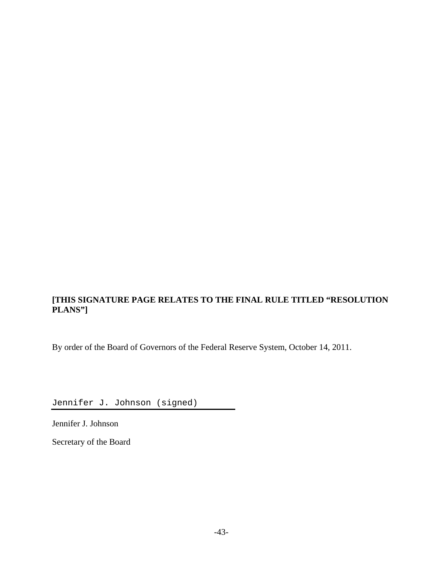# **[THIS SIGNATURE PAGE RELATES TO THE FINAL RULE TITLED "RESOLUTION PLANS"]**

By order of the Board of Governors of the Federal Reserve System, October 14, 2011.

Jennifer J. Johnson (signed)

Jennifer J. Johnson

Secretary of the Board